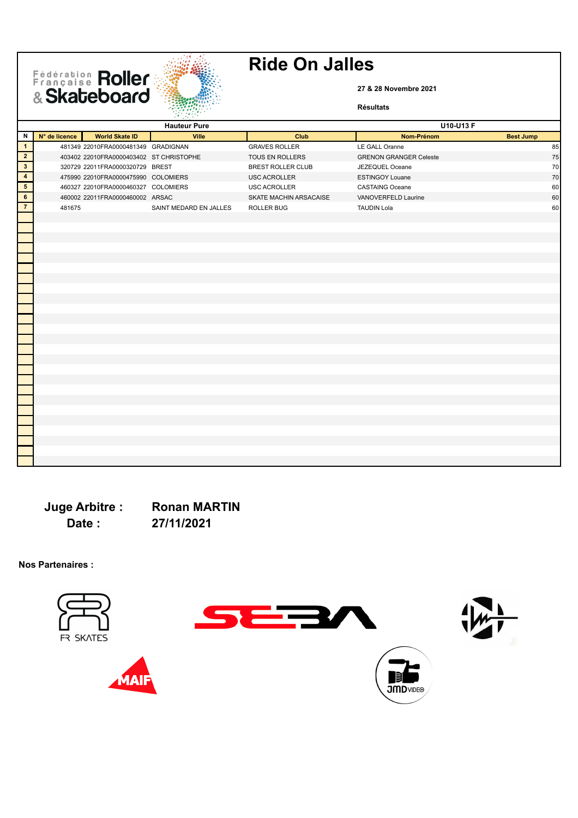**27 & 28 Novembre 2021** 

**Résultats**

|                          |               |                                         | MANA PARTI             |                          |                               |                  |
|--------------------------|---------------|-----------------------------------------|------------------------|--------------------------|-------------------------------|------------------|
|                          |               |                                         | <b>Hauteur Pure</b>    |                          |                               | U10-U13 F        |
| $\mathbf N$              | N° de licence | <b>World Skate ID</b>                   | Ville                  | Club                     | Nom-Prénom                    | <b>Best Jump</b> |
| $\overline{1}$           |               | 481349 22010FRA0000481349 GRADIGNAN     |                        | <b>GRAVES ROLLER</b>     | LE GALL Oranne                | 85               |
| $\overline{2}$           |               | 403402 22010FRA0000403402 ST CHRISTOPHE |                        | TOUS EN ROLLERS          | <b>GRENON GRANGER Celeste</b> | 75               |
| $\overline{\mathbf{3}}$  |               | 320729 22011FRA0000320729 BREST         |                        | <b>BREST ROLLER CLUB</b> | JEZEQUEL Oceane               | $70\,$           |
| $\overline{\mathbf{4}}$  |               | 475990 22010FRA0000475990 COLOMIERS     |                        | USC ACROLLER             | <b>ESTINGOY Louane</b>        | 70               |
| $\overline{\phantom{0}}$ |               | 460327 22010FRA0000460327 COLOMIERS     |                        | USC ACROLLER             | <b>CASTAING Oceane</b>        | 60               |
| $\overline{6}$           |               | 460002 22011FRA0000460002 ARSAC         |                        | SKATE MACHIN ARSACAISE   | VANOVERFELD Laurine           | 60               |
| $\overline{7}$           | 481675        |                                         | SAINT MEDARD EN JALLES | ROLLER BUG               | <b>TAUDIN Lola</b>            | 60               |
|                          |               |                                         |                        |                          |                               |                  |
|                          |               |                                         |                        |                          |                               |                  |
|                          |               |                                         |                        |                          |                               |                  |
|                          |               |                                         |                        |                          |                               |                  |
|                          |               |                                         |                        |                          |                               |                  |
|                          |               |                                         |                        |                          |                               |                  |
|                          |               |                                         |                        |                          |                               |                  |
|                          |               |                                         |                        |                          |                               |                  |
|                          |               |                                         |                        |                          |                               |                  |
|                          |               |                                         |                        |                          |                               |                  |
|                          |               |                                         |                        |                          |                               |                  |
|                          |               |                                         |                        |                          |                               |                  |
|                          |               |                                         |                        |                          |                               |                  |
|                          |               |                                         |                        |                          |                               |                  |
|                          |               |                                         |                        |                          |                               |                  |
|                          |               |                                         |                        |                          |                               |                  |
|                          |               |                                         |                        |                          |                               |                  |
|                          |               |                                         |                        |                          |                               |                  |
|                          |               |                                         |                        |                          |                               |                  |
|                          |               |                                         |                        |                          |                               |                  |
|                          |               |                                         |                        |                          |                               |                  |
|                          |               |                                         |                        |                          |                               |                  |
|                          |               |                                         |                        |                          |                               |                  |
|                          |               |                                         |                        |                          |                               |                  |
|                          |               |                                         |                        |                          |                               |                  |

**Date : 27/11/2021**

Fédération Roller

**Juge Arbitre : Ronan MARTIN**

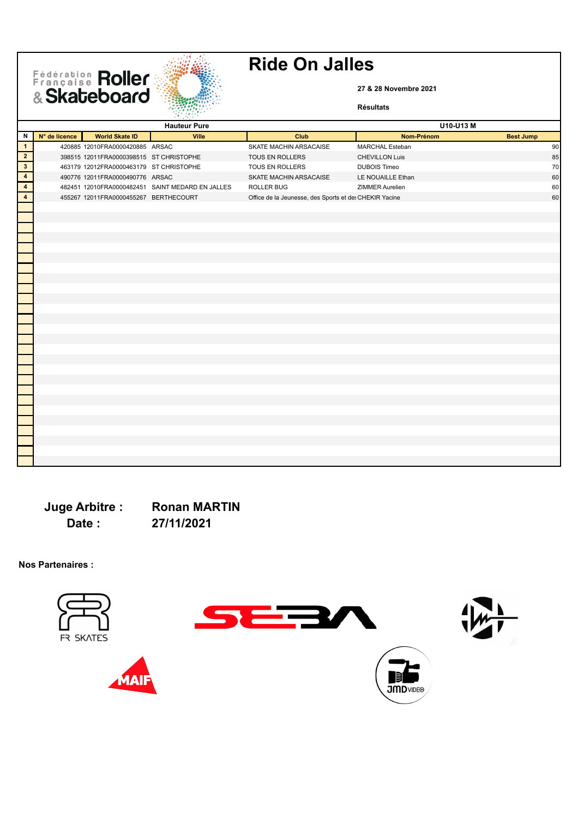**27 & 28 Novembre 2021** 

**Résultats**

|                         |               |                                         | ing profil                                       |                                                        |                        |                  |
|-------------------------|---------------|-----------------------------------------|--------------------------------------------------|--------------------------------------------------------|------------------------|------------------|
|                         |               |                                         | <b>Hauteur Pure</b>                              |                                                        | U10-U13 M              |                  |
| N                       | N° de licence | <b>World Skate ID</b>                   | Ville                                            | Club                                                   | Nom-Prénom             | <b>Best Jump</b> |
| $\blacksquare$          |               | 420885 12010FRA0000420885 ARSAC         |                                                  | SKATE MACHIN ARSACAISE                                 | <b>MARCHAL Esteban</b> | 90               |
| $\overline{\mathbf{2}}$ |               | 398515 12011FRA0000398515 ST CHRISTOPHE |                                                  | TOUS EN ROLLERS                                        | <b>CHEVILLON Luis</b>  | 85               |
| $\overline{\mathbf{3}}$ |               | 463179 12012FRA0000463179 ST CHRISTOPHE |                                                  | TOUS EN ROLLERS                                        | <b>DUBOIS Timeo</b>    | 70               |
| $\overline{\mathbf{4}}$ |               | 490776 12011FRA0000490776 ARSAC         |                                                  | SKATE MACHIN ARSACAISE                                 | LE NOUAILLE Ethan      | 60               |
| $\overline{\mathbf{4}}$ |               |                                         | 482451 12010FRA0000482451 SAINT MEDARD EN JALLES | ROLLER BUG                                             | ZIMMER Aurelien        | 60               |
| $\overline{4}$          |               | 455267 12011FRA0000455267 BERTHECOURT   |                                                  | Office de la Jeunesse, des Sports et des CHEKIR Yacine |                        | 60               |
|                         |               |                                         |                                                  |                                                        |                        |                  |
|                         |               |                                         |                                                  |                                                        |                        |                  |
|                         |               |                                         |                                                  |                                                        |                        |                  |
|                         |               |                                         |                                                  |                                                        |                        |                  |
|                         |               |                                         |                                                  |                                                        |                        |                  |
|                         |               |                                         |                                                  |                                                        |                        |                  |
|                         |               |                                         |                                                  |                                                        |                        |                  |
|                         |               |                                         |                                                  |                                                        |                        |                  |
|                         |               |                                         |                                                  |                                                        |                        |                  |
|                         |               |                                         |                                                  |                                                        |                        |                  |
|                         |               |                                         |                                                  |                                                        |                        |                  |
|                         |               |                                         |                                                  |                                                        |                        |                  |
|                         |               |                                         |                                                  |                                                        |                        |                  |
|                         |               |                                         |                                                  |                                                        |                        |                  |
|                         |               |                                         |                                                  |                                                        |                        |                  |
|                         |               |                                         |                                                  |                                                        |                        |                  |
|                         |               |                                         |                                                  |                                                        |                        |                  |
|                         |               |                                         |                                                  |                                                        |                        |                  |
|                         |               |                                         |                                                  |                                                        |                        |                  |
|                         |               |                                         |                                                  |                                                        |                        |                  |
|                         |               |                                         |                                                  |                                                        |                        |                  |
|                         |               |                                         |                                                  |                                                        |                        |                  |
|                         |               |                                         |                                                  |                                                        |                        |                  |
|                         |               |                                         |                                                  |                                                        |                        |                  |
|                         |               |                                         |                                                  |                                                        |                        |                  |
|                         |               |                                         |                                                  |                                                        |                        |                  |
|                         |               |                                         |                                                  |                                                        |                        |                  |

**Date : 27/11/2021**

Fédération Roller

**Juge Arbitre : Ronan MARTIN**

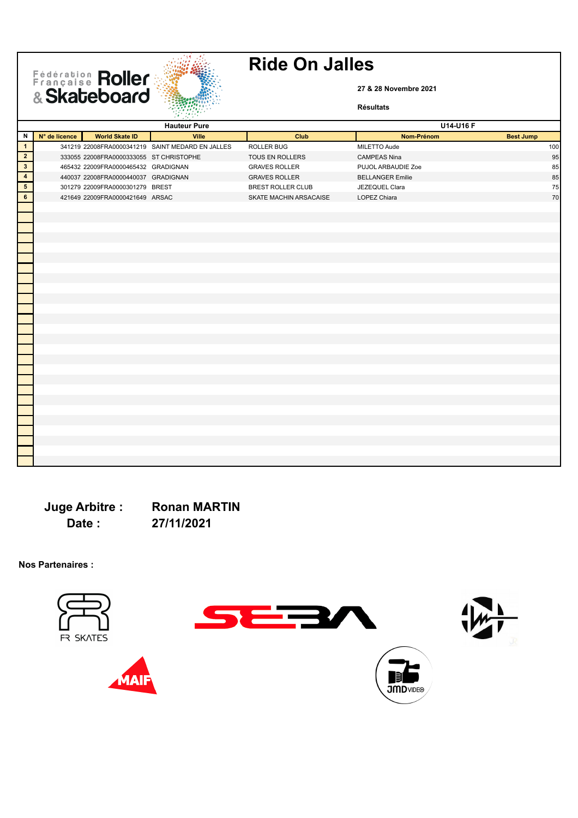**27 & 28 Novembre 2021** 

**Résultats**

|                         |               |                                         | MANA PARTIES<br>PARTIES EST                      |                          |                         |                  |
|-------------------------|---------------|-----------------------------------------|--------------------------------------------------|--------------------------|-------------------------|------------------|
|                         |               |                                         | <b>Hauteur Pure</b>                              |                          |                         | U14-U16 F        |
| N                       | N° de licence | <b>World Skate ID</b>                   | Ville                                            | Club                     | Nom-Prénom              | <b>Best Jump</b> |
| $\overline{1}$          |               |                                         | 341219 22008FRA0000341219 SAINT MEDARD EN JALLES | ROLLER BUG               | MILETTO Aude            | 100              |
| $\overline{2}$          |               | 333055 22008FRA0000333055 ST CHRISTOPHE |                                                  | TOUS EN ROLLERS          | <b>CAMPEAS Nina</b>     | 95               |
| $\overline{\mathbf{3}}$ |               | 465432 22009FRA0000465432 GRADIGNAN     |                                                  | <b>GRAVES ROLLER</b>     | PUJOL ARBAUDIE Zoe      | 85               |
| $\overline{\mathbf{4}}$ |               | 440037 22008FRA0000440037 GRADIGNAN     |                                                  | <b>GRAVES ROLLER</b>     | <b>BELLANGER Emilie</b> | 85               |
| $5\phantom{.0}$         |               | 301279 22009FRA0000301279 BREST         |                                                  | <b>BREST ROLLER CLUB</b> | JEZEQUEL Clara          | 75               |
| $\bf 6$                 |               | 421649 22009FRA0000421649 ARSAC         |                                                  | SKATE MACHIN ARSACAISE   | LOPEZ Chiara            | 70               |
|                         |               |                                         |                                                  |                          |                         |                  |
|                         |               |                                         |                                                  |                          |                         |                  |
|                         |               |                                         |                                                  |                          |                         |                  |
|                         |               |                                         |                                                  |                          |                         |                  |
|                         |               |                                         |                                                  |                          |                         |                  |
|                         |               |                                         |                                                  |                          |                         |                  |
|                         |               |                                         |                                                  |                          |                         |                  |
|                         |               |                                         |                                                  |                          |                         |                  |
|                         |               |                                         |                                                  |                          |                         |                  |
|                         |               |                                         |                                                  |                          |                         |                  |
|                         |               |                                         |                                                  |                          |                         |                  |
|                         |               |                                         |                                                  |                          |                         |                  |
|                         |               |                                         |                                                  |                          |                         |                  |
|                         |               |                                         |                                                  |                          |                         |                  |
|                         |               |                                         |                                                  |                          |                         |                  |
|                         |               |                                         |                                                  |                          |                         |                  |
|                         |               |                                         |                                                  |                          |                         |                  |
|                         |               |                                         |                                                  |                          |                         |                  |
|                         |               |                                         |                                                  |                          |                         |                  |
|                         |               |                                         |                                                  |                          |                         |                  |
|                         |               |                                         |                                                  |                          |                         |                  |
|                         |               |                                         |                                                  |                          |                         |                  |
|                         |               |                                         |                                                  |                          |                         |                  |
|                         |               |                                         |                                                  |                          |                         |                  |
|                         |               |                                         |                                                  |                          |                         |                  |
|                         |               |                                         |                                                  |                          |                         |                  |

**Date : 27/11/2021**

Fédération Roller

**Juge Arbitre : Ronan MARTIN**

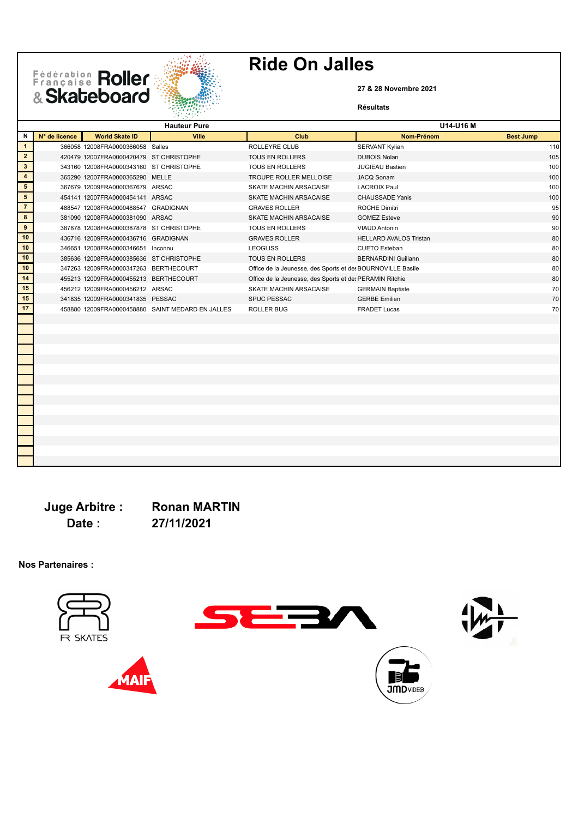# Fédération Roller



## **Ride On Jalles**

**27 & 28 Novembre 2021** 

**Résultats**

|               |                       | <b>Hauteur Pure</b> |                                                                                                                                                                                                                                                                                                                                                                                                                                                                                                                                                                                                                                                                                          | U14-U16 M                     |                                                                                                                         |
|---------------|-----------------------|---------------------|------------------------------------------------------------------------------------------------------------------------------------------------------------------------------------------------------------------------------------------------------------------------------------------------------------------------------------------------------------------------------------------------------------------------------------------------------------------------------------------------------------------------------------------------------------------------------------------------------------------------------------------------------------------------------------------|-------------------------------|-------------------------------------------------------------------------------------------------------------------------|
| N° de licence | <b>World Skate ID</b> | Ville               | Club                                                                                                                                                                                                                                                                                                                                                                                                                                                                                                                                                                                                                                                                                     | Nom-Prénom                    | <b>Best Jump</b>                                                                                                        |
|               |                       |                     | ROLLEYRE CLUB                                                                                                                                                                                                                                                                                                                                                                                                                                                                                                                                                                                                                                                                            | SERVANT Kylian                | 110                                                                                                                     |
|               |                       |                     | <b>TOUS EN ROLLERS</b>                                                                                                                                                                                                                                                                                                                                                                                                                                                                                                                                                                                                                                                                   | <b>DUBOIS Nolan</b>           | 105                                                                                                                     |
|               |                       |                     | <b>TOUS EN ROLLERS</b>                                                                                                                                                                                                                                                                                                                                                                                                                                                                                                                                                                                                                                                                   | <b>JUGIEAU Bastien</b>        | 100                                                                                                                     |
|               |                       |                     | TROUPE ROLLER MELLOISE                                                                                                                                                                                                                                                                                                                                                                                                                                                                                                                                                                                                                                                                   | JACQ Sonam                    | 100                                                                                                                     |
|               |                       |                     | SKATE MACHIN ARSACAISE                                                                                                                                                                                                                                                                                                                                                                                                                                                                                                                                                                                                                                                                   | <b>LACROIX Paul</b>           | 100                                                                                                                     |
|               |                       |                     | SKATE MACHIN ARSACAISE                                                                                                                                                                                                                                                                                                                                                                                                                                                                                                                                                                                                                                                                   | <b>CHAUSSADE Yanis</b>        | 100                                                                                                                     |
|               |                       |                     | <b>GRAVES ROLLER</b>                                                                                                                                                                                                                                                                                                                                                                                                                                                                                                                                                                                                                                                                     | <b>ROCHE Dimitri</b>          | 95                                                                                                                      |
|               |                       |                     | SKATE MACHIN ARSACAISE                                                                                                                                                                                                                                                                                                                                                                                                                                                                                                                                                                                                                                                                   | <b>GOMEZ Esteve</b>           | 90                                                                                                                      |
|               |                       |                     | TOUS EN ROLLERS                                                                                                                                                                                                                                                                                                                                                                                                                                                                                                                                                                                                                                                                          | <b>VIAUD Antonin</b>          | 90                                                                                                                      |
|               |                       |                     | <b>GRAVES ROLLER</b>                                                                                                                                                                                                                                                                                                                                                                                                                                                                                                                                                                                                                                                                     | <b>HELLARD AVALOS Tristan</b> | 80                                                                                                                      |
|               |                       |                     | <b>LEOGLISS</b>                                                                                                                                                                                                                                                                                                                                                                                                                                                                                                                                                                                                                                                                          | CUETO Esteban                 | 80                                                                                                                      |
|               |                       |                     | <b>TOUS EN ROLLERS</b>                                                                                                                                                                                                                                                                                                                                                                                                                                                                                                                                                                                                                                                                   | <b>BERNARDINI Guiliann</b>    | 80                                                                                                                      |
|               |                       |                     |                                                                                                                                                                                                                                                                                                                                                                                                                                                                                                                                                                                                                                                                                          |                               | 80                                                                                                                      |
|               |                       |                     |                                                                                                                                                                                                                                                                                                                                                                                                                                                                                                                                                                                                                                                                                          |                               | 80                                                                                                                      |
|               |                       |                     | SKATE MACHIN ARSACAISE                                                                                                                                                                                                                                                                                                                                                                                                                                                                                                                                                                                                                                                                   | <b>GERMAIN Baptiste</b>       | 70                                                                                                                      |
|               |                       |                     | SPUC PESSAC                                                                                                                                                                                                                                                                                                                                                                                                                                                                                                                                                                                                                                                                              | <b>GERBE Emilien</b>          | 70                                                                                                                      |
|               |                       |                     | ROLLER BUG                                                                                                                                                                                                                                                                                                                                                                                                                                                                                                                                                                                                                                                                               | <b>FRADET Lucas</b>           | 70                                                                                                                      |
|               |                       |                     |                                                                                                                                                                                                                                                                                                                                                                                                                                                                                                                                                                                                                                                                                          |                               |                                                                                                                         |
|               |                       |                     |                                                                                                                                                                                                                                                                                                                                                                                                                                                                                                                                                                                                                                                                                          |                               |                                                                                                                         |
|               |                       |                     |                                                                                                                                                                                                                                                                                                                                                                                                                                                                                                                                                                                                                                                                                          |                               |                                                                                                                         |
|               |                       |                     |                                                                                                                                                                                                                                                                                                                                                                                                                                                                                                                                                                                                                                                                                          |                               |                                                                                                                         |
|               |                       |                     |                                                                                                                                                                                                                                                                                                                                                                                                                                                                                                                                                                                                                                                                                          |                               |                                                                                                                         |
|               |                       |                     |                                                                                                                                                                                                                                                                                                                                                                                                                                                                                                                                                                                                                                                                                          |                               |                                                                                                                         |
|               |                       |                     |                                                                                                                                                                                                                                                                                                                                                                                                                                                                                                                                                                                                                                                                                          |                               |                                                                                                                         |
|               |                       |                     |                                                                                                                                                                                                                                                                                                                                                                                                                                                                                                                                                                                                                                                                                          |                               |                                                                                                                         |
|               |                       |                     |                                                                                                                                                                                                                                                                                                                                                                                                                                                                                                                                                                                                                                                                                          |                               |                                                                                                                         |
|               |                       |                     |                                                                                                                                                                                                                                                                                                                                                                                                                                                                                                                                                                                                                                                                                          |                               |                                                                                                                         |
|               |                       |                     |                                                                                                                                                                                                                                                                                                                                                                                                                                                                                                                                                                                                                                                                                          |                               |                                                                                                                         |
|               |                       |                     |                                                                                                                                                                                                                                                                                                                                                                                                                                                                                                                                                                                                                                                                                          |                               |                                                                                                                         |
|               |                       |                     |                                                                                                                                                                                                                                                                                                                                                                                                                                                                                                                                                                                                                                                                                          |                               |                                                                                                                         |
|               |                       |                     |                                                                                                                                                                                                                                                                                                                                                                                                                                                                                                                                                                                                                                                                                          |                               |                                                                                                                         |
|               |                       |                     | 366058 12008FRA0000366058 Salles<br>420479 12007FRA0000420479 ST CHRISTOPHE<br>343160 12008FRA0000343160 ST CHRISTOPHE<br>365290 12007FRA0000365290 MELLE<br>367679 12009FRA0000367679 ARSAC<br>454141 12007FRA0000454141 ARSAC<br>488547 12008FRA0000488547 GRADIGNAN<br>381090 12008FRA0000381090 ARSAC<br>387878 12008FRA0000387878 ST CHRISTOPHE<br>436716 12009FRA0000436716 GRADIGNAN<br>346651 12008FRA0000346651 Inconnu<br>385636 12008FRA0000385636 ST CHRISTOPHE<br>347263 12009FRA0000347263 BERTHECOURT<br>455213 12009FRA0000455213 BERTHECOURT<br>456212 12009FRA0000456212 ARSAC<br>341835 12009FRA0000341835 PESSAC<br>458880 12009FRA0000458880 SAINT MEDARD EN JALLES |                               | Office de la Jeunesse, des Sports et des BOURNOVILLE Basile<br>Office de la Jeunesse, des Sports et des PERAMIN Ritchie |

**Juge Arbitre : Ronan MARTIN Date : 27/11/2021**

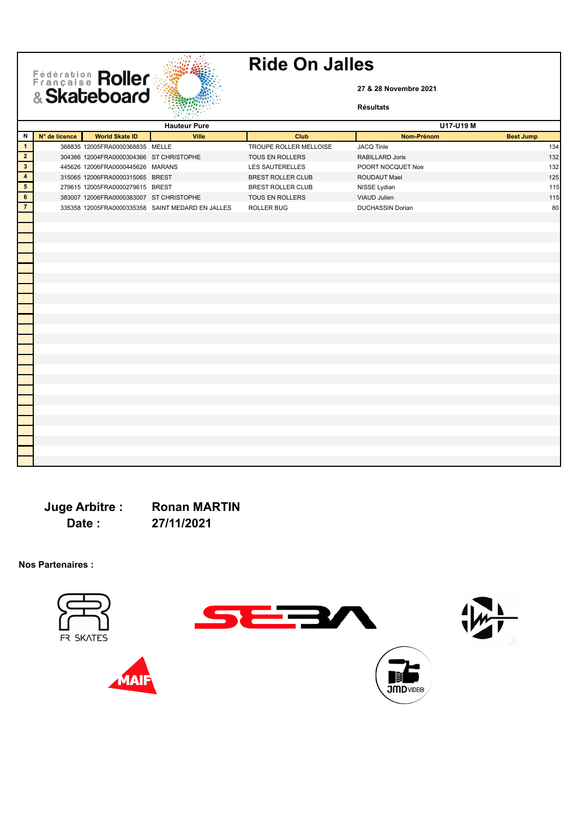**27 & 28 Novembre 2021** 

**Résultats**

|                          |               |                                         | 96 M.H<br><b>Hauteur Pure</b>                    |                          | U17-U19 M         |                  |
|--------------------------|---------------|-----------------------------------------|--------------------------------------------------|--------------------------|-------------------|------------------|
| $\mathbf N$              | N° de licence | <b>World Skate ID</b>                   | Ville                                            | Club                     | Nom-Prénom        | <b>Best Jump</b> |
| $\blacksquare$           |               | 368835 12005FRA0000368835 MELLE         |                                                  | TROUPE ROLLER MELLOISE   | JACQ Tinle        | 134              |
| $\overline{2}$           |               | 304366 12004FRA0000304366 ST CHRISTOPHE |                                                  | TOUS EN ROLLERS          | RABILLARD Joris   | 132              |
| $\overline{\mathbf{3}}$  |               | 445626 12006FRA0000445626 MARANS        |                                                  | LES SAUTERELLES          | POORT NOCQUET Noe | 132              |
| $\overline{\mathbf{4}}$  |               | 315065 12006FRA0000315065 BREST         |                                                  | <b>BREST ROLLER CLUB</b> | ROUDAUT Mael      | 125              |
| $\overline{\phantom{a}}$ |               | 279615 12005FRA0000279615 BREST         |                                                  | <b>BREST ROLLER CLUB</b> | NISSE Lydian      | 115              |
| $\overline{\phantom{a}}$ |               | 383007 12006FRA0000383007 ST CHRISTOPHE |                                                  | TOUS EN ROLLERS          | VIAUD Julien      | 115              |
| $\overline{7}$           |               |                                         | 335358 12005FRA0000335358 SAINT MEDARD EN JALLES | <b>ROLLER BUG</b>        | DUCHASSIN Dorian  | 80               |
|                          |               |                                         |                                                  |                          |                   |                  |
|                          |               |                                         |                                                  |                          |                   |                  |
|                          |               |                                         |                                                  |                          |                   |                  |
|                          |               |                                         |                                                  |                          |                   |                  |
|                          |               |                                         |                                                  |                          |                   |                  |
|                          |               |                                         |                                                  |                          |                   |                  |
|                          |               |                                         |                                                  |                          |                   |                  |
|                          |               |                                         |                                                  |                          |                   |                  |
|                          |               |                                         |                                                  |                          |                   |                  |
|                          |               |                                         |                                                  |                          |                   |                  |
|                          |               |                                         |                                                  |                          |                   |                  |
|                          |               |                                         |                                                  |                          |                   |                  |
|                          |               |                                         |                                                  |                          |                   |                  |
|                          |               |                                         |                                                  |                          |                   |                  |
|                          |               |                                         |                                                  |                          |                   |                  |
|                          |               |                                         |                                                  |                          |                   |                  |
|                          |               |                                         |                                                  |                          |                   |                  |
|                          |               |                                         |                                                  |                          |                   |                  |
|                          |               |                                         |                                                  |                          |                   |                  |
|                          |               |                                         |                                                  |                          |                   |                  |
|                          |               |                                         |                                                  |                          |                   |                  |
|                          |               |                                         |                                                  |                          |                   |                  |
|                          |               |                                         |                                                  |                          |                   |                  |
|                          |               |                                         |                                                  |                          |                   |                  |

**Date : 27/11/2021**

Fédération Roller

**Juge Arbitre : Ronan MARTIN**

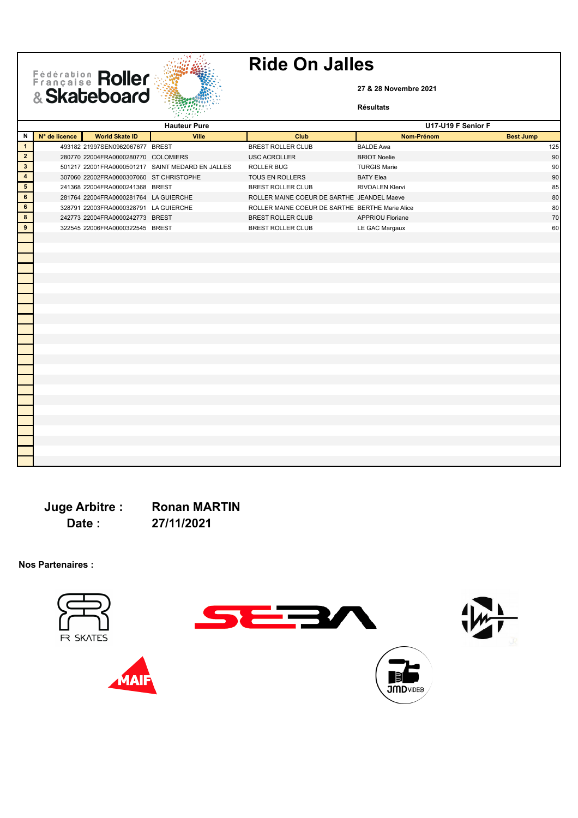# Fédération Roller

## **Ride On Jalles**

**27 & 28 Novembre 2021** 

**Résultats**

|                         |               |                                         | an yankin<br><b>Hauteur Pure</b>                 |                                                 | U17-U19 F Senior F      |                  |
|-------------------------|---------------|-----------------------------------------|--------------------------------------------------|-------------------------------------------------|-------------------------|------------------|
| N                       | N° de licence | <b>World Skate ID</b>                   | Ville                                            | Club                                            | Nom-Prénom              | <b>Best Jump</b> |
| $\blacksquare$          |               | 493182 21997SEN0962067677 BREST         |                                                  | <b>BREST ROLLER CLUB</b>                        | <b>BALDE Awa</b>        | 125              |
| $\overline{2}$          |               | 280770 22004FRA0000280770 COLOMIERS     |                                                  | <b>USC ACROLLER</b>                             | <b>BRIOT Noelie</b>     | 90               |
| $\overline{\mathbf{3}}$ |               |                                         | 501217 22001FRA0000501217 SAINT MEDARD EN JALLES | ROLLER BUG                                      | <b>TURGIS Marie</b>     | 90               |
| $\overline{\mathbf{4}}$ |               | 307060 22002FRA0000307060 ST CHRISTOPHE |                                                  | TOUS EN ROLLERS                                 | <b>BATY Elea</b>        | 90               |
| ${\bf 5}$               |               | 241368 22004FRA0000241368 BREST         |                                                  | <b>BREST ROLLER CLUB</b>                        | <b>RIVOALEN Klervi</b>  | 85               |
| $\bf 6$                 |               | 281764 22004FRA0000281764 LA GUIERCHE   |                                                  | ROLLER MAINE COEUR DE SARTHE JEANDEL Maeve      |                         | 80               |
| $\bf 6$                 |               | 328791 22003FRA0000328791 LA GUIERCHE   |                                                  | ROLLER MAINE COEUR DE SARTHE BERTHE Marie Alice |                         | 80               |
| $\bf8$                  |               | 242773 22004FRA0000242773 BREST         |                                                  | <b>BREST ROLLER CLUB</b>                        | <b>APPRIOU Floriane</b> | 70               |
| 9                       |               | 322545 22006FRA0000322545 BREST         |                                                  | BREST ROLLER CLUB                               | LE GAC Margaux          | 60               |
|                         |               |                                         |                                                  |                                                 |                         |                  |
|                         |               |                                         |                                                  |                                                 |                         |                  |
|                         |               |                                         |                                                  |                                                 |                         |                  |
|                         |               |                                         |                                                  |                                                 |                         |                  |
|                         |               |                                         |                                                  |                                                 |                         |                  |
|                         |               |                                         |                                                  |                                                 |                         |                  |
|                         |               |                                         |                                                  |                                                 |                         |                  |
|                         |               |                                         |                                                  |                                                 |                         |                  |
|                         |               |                                         |                                                  |                                                 |                         |                  |
|                         |               |                                         |                                                  |                                                 |                         |                  |
|                         |               |                                         |                                                  |                                                 |                         |                  |
|                         |               |                                         |                                                  |                                                 |                         |                  |
|                         |               |                                         |                                                  |                                                 |                         |                  |
|                         |               |                                         |                                                  |                                                 |                         |                  |
|                         |               |                                         |                                                  |                                                 |                         |                  |
|                         |               |                                         |                                                  |                                                 |                         |                  |
|                         |               |                                         |                                                  |                                                 |                         |                  |
|                         |               |                                         |                                                  |                                                 |                         |                  |
|                         |               |                                         |                                                  |                                                 |                         |                  |
|                         |               |                                         |                                                  |                                                 |                         |                  |
|                         |               |                                         |                                                  |                                                 |                         |                  |
|                         |               |                                         |                                                  |                                                 |                         |                  |
|                         |               |                                         |                                                  |                                                 |                         |                  |

**Date : 27/11/2021**

**Juge Arbitre : Ronan MARTIN**

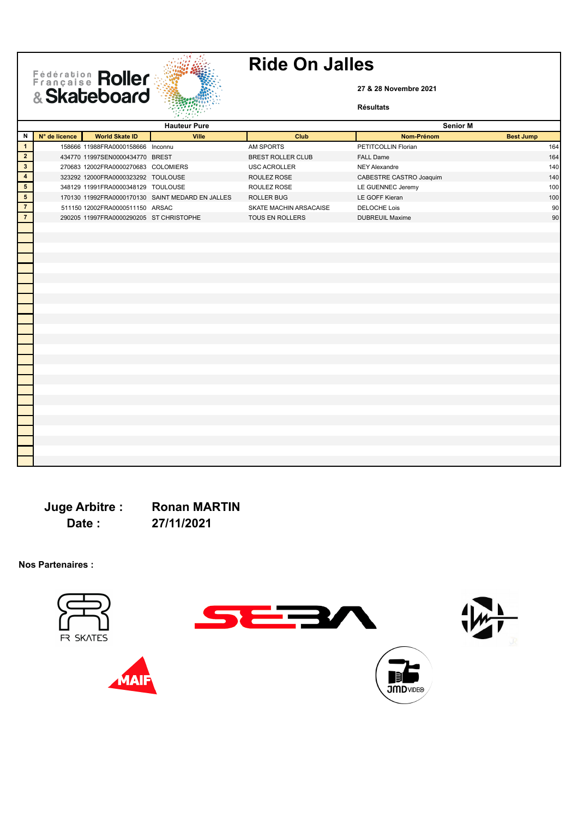**27 & 28 Novembre 2021** 

#### **Résultats**

|                          |               |                                         | 7ê                                               |                          |                         |                  |
|--------------------------|---------------|-----------------------------------------|--------------------------------------------------|--------------------------|-------------------------|------------------|
|                          |               |                                         | <b>Hauteur Pure</b>                              |                          |                         | <b>Senior M</b>  |
| N                        | N° de licence | <b>World Skate ID</b>                   | Ville                                            | Club                     | Nom-Prénom              | <b>Best Jump</b> |
| $\mathbf{1}$             |               | 158666 11988FRA0000158666 Inconnu       |                                                  | AM SPORTS                | PETITCOLLIN Florian     | 164              |
| $\overline{2}$           |               | 434770 11997SEN0000434770 BREST         |                                                  | <b>BREST ROLLER CLUB</b> | <b>FALL Dame</b>        | 164              |
| $\overline{\mathbf{3}}$  |               | 270683 12002FRA0000270683 COLOMIERS     |                                                  | <b>USC ACROLLER</b>      | <b>NEY Alexandre</b>    | 140              |
| $\overline{\mathbf{4}}$  |               | 323292 12000FRA0000323292 TOULOUSE      |                                                  | ROULEZ ROSE              | CABESTRE CASTRO Joaquim | 140              |
| $\overline{\phantom{0}}$ |               | 348129 11991FRA0000348129 TOULOUSE      |                                                  | ROULEZ ROSE              | LE GUENNEC Jeremy       | 100              |
| $5\phantom{.0}$          |               |                                         | 170130 11992FRA0000170130 SAINT MEDARD EN JALLES | <b>ROLLER BUG</b>        | LE GOFF Kieran          | 100              |
| $\overline{7}$           |               | 511150 12002FRA0000511150 ARSAC         |                                                  | SKATE MACHIN ARSACAISE   | <b>DELOCHE Lois</b>     | 90               |
| $\overline{7}$           |               | 290205 11997FRA0000290205 ST CHRISTOPHE |                                                  | TOUS EN ROLLERS          | <b>DUBREUIL Maxime</b>  | 90               |
|                          |               |                                         |                                                  |                          |                         |                  |
|                          |               |                                         |                                                  |                          |                         |                  |
|                          |               |                                         |                                                  |                          |                         |                  |
|                          |               |                                         |                                                  |                          |                         |                  |
|                          |               |                                         |                                                  |                          |                         |                  |
|                          |               |                                         |                                                  |                          |                         |                  |
|                          |               |                                         |                                                  |                          |                         |                  |
|                          |               |                                         |                                                  |                          |                         |                  |
|                          |               |                                         |                                                  |                          |                         |                  |
|                          |               |                                         |                                                  |                          |                         |                  |
|                          |               |                                         |                                                  |                          |                         |                  |
|                          |               |                                         |                                                  |                          |                         |                  |
|                          |               |                                         |                                                  |                          |                         |                  |
|                          |               |                                         |                                                  |                          |                         |                  |
|                          |               |                                         |                                                  |                          |                         |                  |
|                          |               |                                         |                                                  |                          |                         |                  |
|                          |               |                                         |                                                  |                          |                         |                  |
|                          |               |                                         |                                                  |                          |                         |                  |
|                          |               |                                         |                                                  |                          |                         |                  |
|                          |               |                                         |                                                  |                          |                         |                  |
|                          |               |                                         |                                                  |                          |                         |                  |
|                          |               |                                         |                                                  |                          |                         |                  |

**Date : 27/11/2021**

Fédération Roller

**Juge Arbitre : Ronan MARTIN**

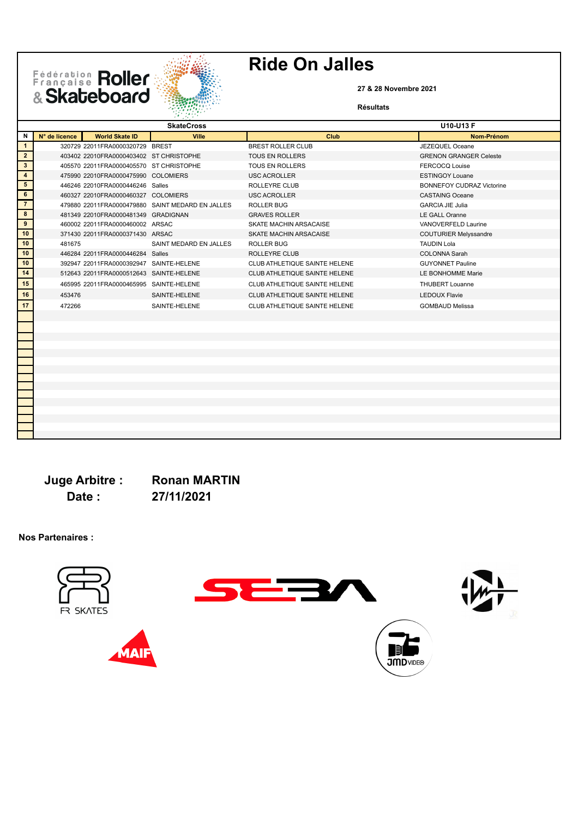**27 & 28 Novembre 2021** 

**Résultats**

|                         |               |                                         | 240 MW 201                                       |                               |                                  |
|-------------------------|---------------|-----------------------------------------|--------------------------------------------------|-------------------------------|----------------------------------|
|                         |               |                                         | <b>SkateCross</b>                                |                               | U10-U13 F                        |
| N                       | N° de licence | <b>World Skate ID</b>                   | Ville                                            | Club                          | <b>Nom-Prénom</b>                |
| $\mathbf{1}$            |               | 320729 22011FRA0000320729 BREST         |                                                  | <b>BREST ROLLER CLUB</b>      | JEZEQUEL Oceane                  |
| $\mathbf{2}$            |               | 403402 22010FRA0000403402 ST CHRISTOPHE |                                                  | <b>TOUS EN ROLLERS</b>        | <b>GRENON GRANGER Celeste</b>    |
| $3\overline{3}$         |               | 405570 22011FRA0000405570 ST CHRISTOPHE |                                                  | <b>TOUS EN ROLLERS</b>        | <b>FERCOCQ Louise</b>            |
| $\overline{\mathbf{4}}$ |               | 475990 22010FRA0000475990 COLOMIERS     |                                                  | <b>USC ACROLLER</b>           | <b>ESTINGOY Louane</b>           |
| $5\phantom{.0}$         |               | 446246 22010FRA0000446246 Salles        |                                                  | ROLLEYRE CLUB                 | <b>BONNEFOY CUDRAZ Victorine</b> |
| $6\phantom{.}$          |               |                                         |                                                  | <b>USC ACROLLER</b>           | <b>CASTAING Oceane</b>           |
| $\overline{7}$          |               |                                         | 479880 22011FRA0000479880 SAINT MEDARD EN JALLES | <b>ROLLER BUG</b>             | <b>GARCIA JIE Julia</b>          |
| $\boldsymbol{8}$        |               | 481349 22010FRA0000481349 GRADIGNAN     |                                                  | <b>GRAVES ROLLER</b>          | LE GALL Oranne                   |
| 9                       |               | 460002 22011FRA0000460002 ARSAC         |                                                  | <b>SKATE MACHIN ARSACAISE</b> | VANOVERFELD Laurine              |
| 10                      |               | 371430 22011FRA0000371430 ARSAC         |                                                  | <b>SKATE MACHIN ARSACAISE</b> | <b>COUTURIER Melyssandre</b>     |
| 10                      | 481675        |                                         | SAINT MEDARD EN JALLES                           | ROLLER BUG                    | <b>TAUDIN Lola</b>               |
| 10                      |               | 446284 22011FRA0000446284 Salles        |                                                  | ROLLEYRE CLUB                 | <b>COLONNA Sarah</b>             |
| 10                      |               | 392947 22011FRA0000392947 SAINTE-HELENE |                                                  | CLUB ATHLETIQUE SAINTE HELENE | <b>GUYONNET Pauline</b>          |
| 14                      |               | 512643 22011FRA0000512643 SAINTE-HELENE |                                                  | CLUB ATHLETIQUE SAINTE HELENE | LE BONHOMME Marie                |
| 15                      |               | 465995 22011FRA0000465995 SAINTE-HELENE |                                                  | CLUB ATHLETIQUE SAINTE HELENE | <b>THUBERT Louanne</b>           |
| 16                      | 453476        |                                         | SAINTE-HELENE                                    | CLUB ATHLETIQUE SAINTE HELENE | <b>LEDOUX Flavie</b>             |
| 17                      | 472266        |                                         | SAINTE-HELENE                                    | CLUB ATHLETIQUE SAINTE HELENE | <b>GOMBAUD Melissa</b>           |
|                         |               |                                         |                                                  |                               |                                  |
|                         |               |                                         |                                                  |                               |                                  |
|                         |               |                                         |                                                  |                               |                                  |
|                         |               |                                         |                                                  |                               |                                  |
|                         |               |                                         |                                                  |                               |                                  |
|                         |               |                                         |                                                  |                               |                                  |
|                         |               |                                         |                                                  |                               |                                  |
|                         |               |                                         |                                                  |                               |                                  |
|                         |               |                                         |                                                  |                               |                                  |
|                         |               |                                         |                                                  |                               |                                  |
|                         |               |                                         |                                                  |                               |                                  |
|                         |               |                                         |                                                  |                               |                                  |
|                         |               |                                         |                                                  |                               |                                  |

**Juge Arbitre : Ronan MARTIN Date : 27/11/2021**

Fédération Roller

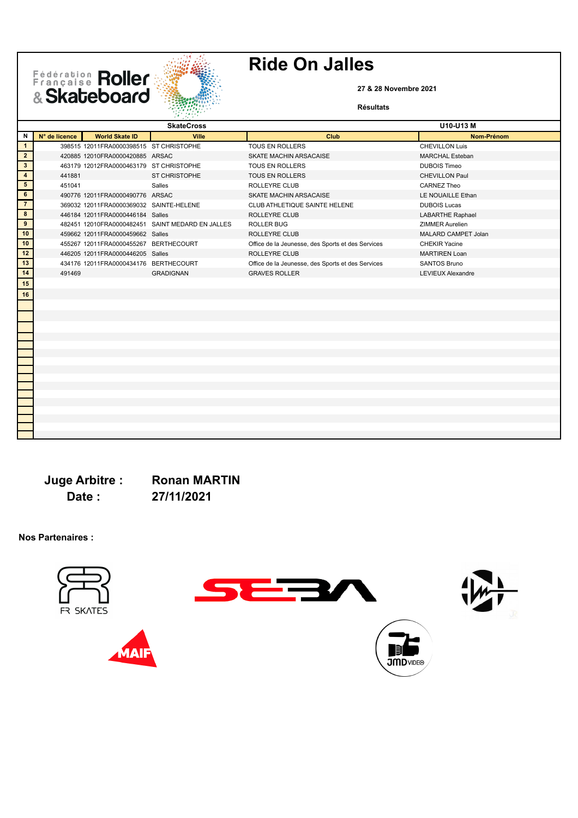



**27 & 28 Novembre 2021** 

**Résultats**

|                         |               |                                         | <b>SkateCross</b>                                |                                                   | U10-U13 M                |
|-------------------------|---------------|-----------------------------------------|--------------------------------------------------|---------------------------------------------------|--------------------------|
| N                       | N° de licence | <b>World Skate ID</b>                   | Ville                                            | Club                                              | Nom-Prénom               |
| $\mathbf{1}$            |               | 398515 12011FRA0000398515 ST CHRISTOPHE |                                                  | <b>TOUS EN ROLLERS</b>                            | <b>CHEVILLON Luis</b>    |
| $\overline{2}$          |               | 420885 12010FRA0000420885 ARSAC         |                                                  | SKATE MACHIN ARSACAISE                            | <b>MARCHAL Esteban</b>   |
| $\mathbf{3}$            |               | 463179 12012FRA0000463179 ST CHRISTOPHE |                                                  | <b>TOUS EN ROLLERS</b>                            | <b>DUBOIS Timeo</b>      |
| $\overline{\mathbf{4}}$ | 441881        |                                         | ST CHRISTOPHE                                    | <b>TOUS EN ROLLERS</b>                            | <b>CHEVILLON Paul</b>    |
| ${\bf 5}$               | 451041        |                                         | Salles                                           | ROLLEYRE CLUB                                     | <b>CARNEZ Theo</b>       |
| $\bf 6$                 |               | 490776 12011FRA0000490776 ARSAC         |                                                  | SKATE MACHIN ARSACAISE                            | LE NOUAILLE Ethan        |
| $\overline{7}$          |               | 369032 12011FRA0000369032 SAINTE-HELENE |                                                  | CLUB ATHLETIQUE SAINTE HELENE                     | <b>DUBOIS Lucas</b>      |
| $\boldsymbol{8}$        |               | 446184 12011FRA0000446184 Salles        |                                                  | ROLLEYRE CLUB                                     | <b>LABARTHE Raphael</b>  |
| $\overline{9}$          |               |                                         | 482451 12010FRA0000482451 SAINT MEDARD EN JALLES | <b>ROLLER BUG</b>                                 | ZIMMER Aurelien          |
| 10                      |               | 459662 12011FRA0000459662 Salles        |                                                  | ROLLEYRE CLUB                                     | MALARD CAMPET Jolan      |
| 10                      |               | 455267 12011FRA0000455267 BERTHECOURT   |                                                  | Office de la Jeunesse, des Sports et des Services | <b>CHEKIR Yacine</b>     |
| 12                      |               | 446205 12011FRA0000446205 Salles        |                                                  | ROLLEYRE CLUB                                     | <b>MARTIREN Loan</b>     |
| 13                      |               | 434176 12011FRA0000434176 BERTHECOURT   |                                                  | Office de la Jeunesse, des Sports et des Services | <b>SANTOS Bruno</b>      |
| 14                      | 491469        |                                         | <b>GRADIGNAN</b>                                 | <b>GRAVES ROLLER</b>                              | <b>LEVIEUX Alexandre</b> |
| 15                      |               |                                         |                                                  |                                                   |                          |
| 16                      |               |                                         |                                                  |                                                   |                          |
|                         |               |                                         |                                                  |                                                   |                          |
|                         |               |                                         |                                                  |                                                   |                          |
|                         |               |                                         |                                                  |                                                   |                          |
|                         |               |                                         |                                                  |                                                   |                          |
|                         |               |                                         |                                                  |                                                   |                          |
|                         |               |                                         |                                                  |                                                   |                          |
|                         |               |                                         |                                                  |                                                   |                          |
|                         |               |                                         |                                                  |                                                   |                          |
|                         |               |                                         |                                                  |                                                   |                          |
|                         |               |                                         |                                                  |                                                   |                          |
|                         |               |                                         |                                                  |                                                   |                          |
|                         |               |                                         |                                                  |                                                   |                          |
|                         |               |                                         |                                                  |                                                   |                          |
|                         |               |                                         |                                                  |                                                   |                          |

**Juge Arbitre : Ronan MARTIN Date : 27/11/2021**

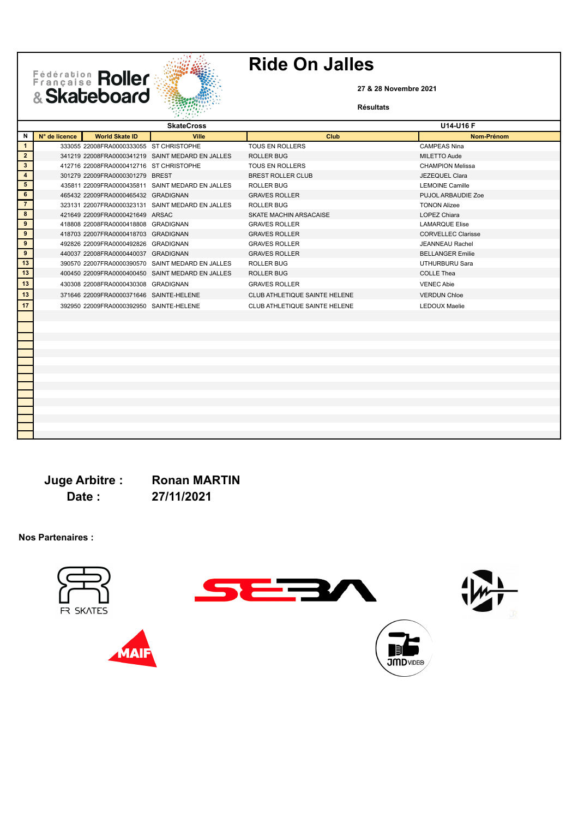# Fédération Roller



# **Ride On Jalles**

**27 & 28 Novembre 2021** 

**Résultats**

|                         |               |                                         | そうけんそう<br><b>SkateCross</b>                      |                               | <b>U14-U16 F</b>          |
|-------------------------|---------------|-----------------------------------------|--------------------------------------------------|-------------------------------|---------------------------|
| N                       | N° de licence | <b>World Skate ID</b>                   | Ville                                            | Club                          | Nom-Prénom                |
| $\mathbf{1}$            |               | 333055 22008FRA0000333055 ST CHRISTOPHE |                                                  | <b>TOUS EN ROLLERS</b>        | <b>CAMPEAS Nina</b>       |
| $\overline{2}$          |               |                                         | 341219 22008FRA0000341219 SAINT MEDARD EN JALLES | ROLLER BUG                    | MILETTO Aude              |
| $3\phantom{.0}$         |               | 412716 22008FRA0000412716 ST CHRISTOPHE |                                                  | <b>TOUS EN ROLLERS</b>        | <b>CHAMPION Melissa</b>   |
| $\overline{\mathbf{4}}$ |               | 301279 22009FRA0000301279 BREST         |                                                  | <b>BREST ROLLER CLUB</b>      | JEZEQUEL Clara            |
| $5\phantom{.0}$         |               |                                         | 435811 22009FRA0000435811 SAINT MEDARD EN JALLES | <b>ROLLER BUG</b>             | <b>LEMOINE Camille</b>    |
| $\bf 6$                 |               | 465432 22009FRA0000465432 GRADIGNAN     |                                                  | <b>GRAVES ROLLER</b>          | PUJOL ARBAUDIE Zoe        |
| $\overline{7}$          |               |                                         | 323131 22007FRA0000323131 SAINT MEDARD EN JALLES | ROLLER BUG                    | <b>TONON Alizee</b>       |
| 8                       |               | 421649 22009FRA0000421649 ARSAC         |                                                  | SKATE MACHIN ARSACAISE        | LOPEZ Chiara              |
| 9                       |               | 418808 22008FRA0000418808 GRADIGNAN     |                                                  | <b>GRAVES ROLLER</b>          | <b>LAMARQUE Elise</b>     |
| 9                       |               | 418703 22007FRA0000418703 GRADIGNAN     |                                                  | <b>GRAVES ROLLER</b>          | <b>CORVELLEC Clarisse</b> |
| 9                       |               | 492826 22009FRA0000492826 GRADIGNAN     |                                                  | <b>GRAVES ROLLER</b>          | <b>JEANNEAU Rachel</b>    |
| 9                       |               | 440037 22008FRA0000440037 GRADIGNAN     |                                                  | <b>GRAVES ROLLER</b>          | <b>BELLANGER Emilie</b>   |
| 13                      |               |                                         | 390570 22007FRA0000390570 SAINT MEDARD EN JALLES | <b>ROLLER BUG</b>             | <b>UTHURBURU Sara</b>     |
| 13                      |               |                                         | 400450 22009FRA0000400450 SAINT MEDARD EN JALLES | ROLLER BUG                    | <b>COLLE Thea</b>         |
| 13                      |               | 430308 22008FRA0000430308 GRADIGNAN     |                                                  | <b>GRAVES ROLLER</b>          | <b>VENEC Abie</b>         |
| 13                      |               | 371646 22009FRA0000371646 SAINTE-HELENE |                                                  | CLUB ATHLETIQUE SAINTE HELENE | <b>VERDUN Chloe</b>       |
| 17                      |               | 392950 22009FRA0000392950 SAINTE-HELENE |                                                  | CLUB ATHLETIQUE SAINTE HELENE | <b>LEDOUX Maelie</b>      |
|                         |               |                                         |                                                  |                               |                           |
|                         |               |                                         |                                                  |                               |                           |
|                         |               |                                         |                                                  |                               |                           |
|                         |               |                                         |                                                  |                               |                           |
|                         |               |                                         |                                                  |                               |                           |
|                         |               |                                         |                                                  |                               |                           |
|                         |               |                                         |                                                  |                               |                           |
|                         |               |                                         |                                                  |                               |                           |
|                         |               |                                         |                                                  |                               |                           |
|                         |               |                                         |                                                  |                               |                           |
|                         |               |                                         |                                                  |                               |                           |
|                         |               |                                         |                                                  |                               |                           |
|                         |               |                                         |                                                  |                               |                           |

**Juge Arbitre : Ronan MARTIN**

**Date : 27/11/2021**

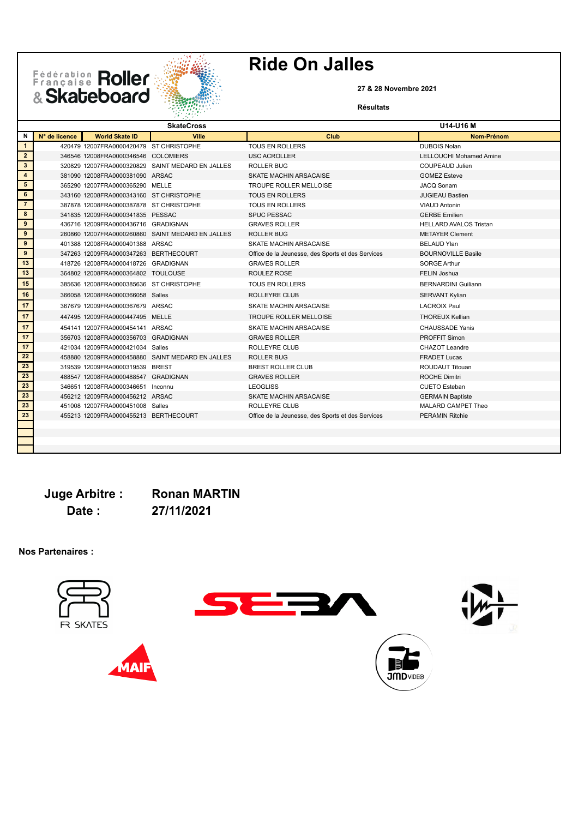# Fédération Roller



# **Ride On Jalles**

**27 & 28 Novembre 2021** 

**Résultats**

|                         |               |                                         | <b>SkateCross</b>                                |                                                   | U14-U16 M                      |
|-------------------------|---------------|-----------------------------------------|--------------------------------------------------|---------------------------------------------------|--------------------------------|
| N                       | N° de licence | <b>World Skate ID</b>                   | <b>Ville</b>                                     | Club                                              | Nom-Prénom                     |
| $\mathbf{1}$            |               | 420479 12007FRA0000420479 ST CHRISTOPHE |                                                  | <b>TOUS EN ROLLERS</b>                            | <b>DUBOIS Nolan</b>            |
| $\overline{2}$          |               | 346546 12008FRA0000346546 COLOMIERS     |                                                  | USC ACROLLER                                      | <b>LELLOUCHI Mohamed Amine</b> |
| $3\phantom{.0}$         |               |                                         | 320829 12007FRA0000320829 SAINT MEDARD EN JALLES | <b>ROLLER BUG</b>                                 | COUPEAUD Julien                |
| $\overline{\mathbf{4}}$ |               | 381090 12008FRA0000381090 ARSAC         |                                                  | SKATE MACHIN ARSACAISE                            | <b>GOMEZ Esteve</b>            |
| $5\phantom{.0}$         |               | 365290 12007FRA0000365290 MELLE         |                                                  | <b>TROUPE ROLLER MELLOISE</b>                     | <b>JACQ Sonam</b>              |
| 6                       |               | 343160 12008FRA0000343160 ST CHRISTOPHE |                                                  | <b>TOUS EN ROLLERS</b>                            | <b>JUGIEAU Bastien</b>         |
| $\overline{7}$          |               | 387878 12008FRA0000387878 ST CHRISTOPHE |                                                  | <b>TOUS EN ROLLERS</b>                            | <b>VIAUD Antonin</b>           |
| $\boldsymbol{8}$        |               | 341835 12009FRA0000341835 PESSAC        |                                                  | SPUC PESSAC                                       | <b>GERBE Emilien</b>           |
| 9                       |               | 436716 12009FRA0000436716 GRADIGNAN     |                                                  | <b>GRAVES ROLLER</b>                              | <b>HELLARD AVALOS Tristan</b>  |
| 9                       |               |                                         | 260860 12007FRA0000260860 SAINT MEDARD EN JALLES | <b>ROLLER BUG</b>                                 | <b>METAYER Clement</b>         |
| 9                       |               | 401388 12008FRA0000401388 ARSAC         |                                                  | SKATE MACHIN ARSACAISE                            | <b>BELAUD Ylan</b>             |
| 9                       |               | 347263 12009FRA0000347263 BERTHECOURT   |                                                  | Office de la Jeunesse, des Sports et des Services | <b>BOURNOVILLE Basile</b>      |
| 13                      |               | 418726 12008FRA0000418726 GRADIGNAN     |                                                  | <b>GRAVES ROLLER</b>                              | <b>SORGE Arthur</b>            |
| 13                      |               | 364802 12008FRA0000364802 TOULOUSE      |                                                  | ROULEZ ROSE                                       | FELIN Joshua                   |
| 15                      |               | 385636 12008FRA0000385636 ST CHRISTOPHE |                                                  | <b>TOUS EN ROLLERS</b>                            | <b>BERNARDINI Guiliann</b>     |
| 16                      |               | 366058 12008FRA0000366058 Salles        |                                                  | ROLLEYRE CLUB                                     | <b>SERVANT Kylian</b>          |
| 17                      |               | 367679 12009FRA0000367679 ARSAC         |                                                  | SKATE MACHIN ARSACAISE                            | <b>LACROIX Paul</b>            |
| 17                      |               | 447495 12009FRA0000447495 MELLE         |                                                  | TROUPE ROLLER MELLOISE                            | <b>THOREUX Kellian</b>         |
| 17                      |               | 454141 12007FRA0000454141 ARSAC         |                                                  | SKATE MACHIN ARSACAISE                            | <b>CHAUSSADE Yanis</b>         |
| 17                      |               | 356703 12008FRA0000356703 GRADIGNAN     |                                                  | <b>GRAVES ROLLER</b>                              | <b>PROFFIT Simon</b>           |
| 17                      |               | 421034 12009FRA0000421034 Salles        |                                                  | <b>ROLLEYRE CLUB</b>                              | <b>CHAZOT Leandre</b>          |
| 22                      |               |                                         | 458880 12009FRA0000458880 SAINT MEDARD EN JALLES | ROLLER BUG                                        | <b>FRADET Lucas</b>            |
| 23                      |               | 319539 12009FRA0000319539 BREST         |                                                  | <b>BREST ROLLER CLUB</b>                          | ROUDAUT Titouan                |
| 23                      |               | 488547 12008FRA0000488547 GRADIGNAN     |                                                  | <b>GRAVES ROLLER</b>                              | <b>ROCHE Dimitri</b>           |
| 23                      |               | 346651 12008FRA0000346651 Inconnu       |                                                  | <b>LEOGLISS</b>                                   | <b>CUETO Esteban</b>           |
| 23                      |               | 456212 12009FRA0000456212 ARSAC         |                                                  | SKATE MACHIN ARSACAISE                            | <b>GERMAIN Baptiste</b>        |
| 23                      |               | 451008 12007FRA0000451008 Salles        |                                                  | <b>ROLLEYRE CLUB</b>                              | <b>MALARD CAMPET Theo</b>      |
| 23                      |               | 455213 12009FRA0000455213 BERTHECOURT   |                                                  | Office de la Jeunesse, des Sports et des Services | <b>PERAMIN Ritchie</b>         |
|                         |               |                                         |                                                  |                                                   |                                |
|                         |               |                                         |                                                  |                                                   |                                |

**Date : 27/11/2021**

**Juge Arbitre : Ronan MARTIN**









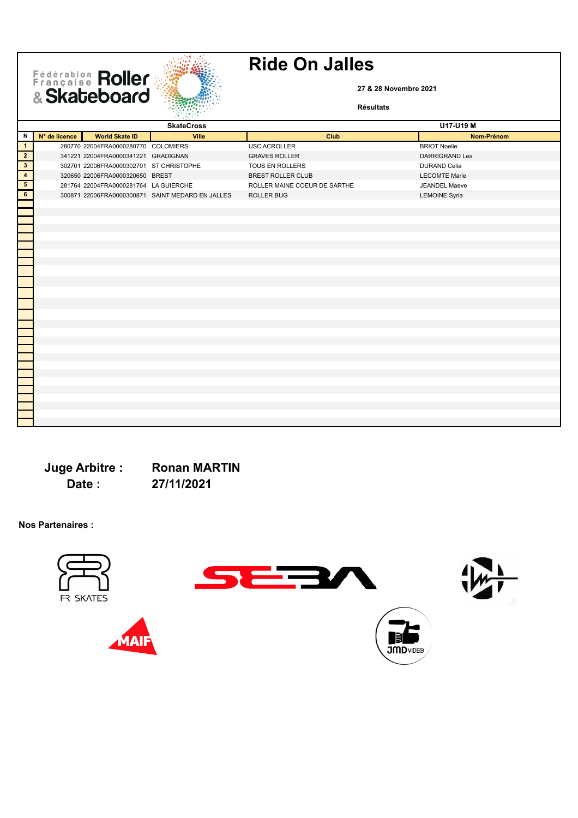**27 & 28 Novembre 2021** 

**Résultats**

|                         |               |                                         | 141 MARTIN                                       |                              |                      |
|-------------------------|---------------|-----------------------------------------|--------------------------------------------------|------------------------------|----------------------|
|                         |               |                                         | <b>SkateCross</b>                                |                              | U17-U19 M            |
| N                       | N° de licence | <b>World Skate ID</b>                   | Ville                                            | Club                         | Nom-Prénom           |
| $\mathbf{1}$            |               | 280770 22004FRA0000280770 COLOMIERS     |                                                  | USC ACROLLER                 | <b>BRIOT Noelie</b>  |
| $\overline{2}$          |               | 341221 22004FRA0000341221 GRADIGNAN     |                                                  | <b>GRAVES ROLLER</b>         | DARRIGRAND Lea       |
| $\mathbf{3}$            |               | 302701 22006FRA0000302701 ST CHRISTOPHE |                                                  | TOUS EN ROLLERS              | <b>DURAND Celia</b>  |
| $\overline{\mathbf{4}}$ |               | 320650 22006FRA0000320650 BREST         |                                                  | BREST ROLLER CLUB            | <b>LECOMTE Marie</b> |
| $5\phantom{.0}$         |               | 281764 22004FRA0000281764 LA GUIERCHE   |                                                  | ROLLER MAINE COEUR DE SARTHE | JEANDEL Maeve        |
| $6\phantom{.}6$         |               |                                         | 300871 22006FRA0000300871 SAINT MEDARD EN JALLES | ROLLER BUG                   | <b>LEMOINE Syria</b> |
|                         |               |                                         |                                                  |                              |                      |
|                         |               |                                         |                                                  |                              |                      |
|                         |               |                                         |                                                  |                              |                      |
|                         |               |                                         |                                                  |                              |                      |
|                         |               |                                         |                                                  |                              |                      |
|                         |               |                                         |                                                  |                              |                      |
|                         |               |                                         |                                                  |                              |                      |
|                         |               |                                         |                                                  |                              |                      |
|                         |               |                                         |                                                  |                              |                      |
|                         |               |                                         |                                                  |                              |                      |
|                         |               |                                         |                                                  |                              |                      |
|                         |               |                                         |                                                  |                              |                      |
|                         |               |                                         |                                                  |                              |                      |
|                         |               |                                         |                                                  |                              |                      |
|                         |               |                                         |                                                  |                              |                      |
|                         |               |                                         |                                                  |                              |                      |
|                         |               |                                         |                                                  |                              |                      |
|                         |               |                                         |                                                  |                              |                      |
|                         |               |                                         |                                                  |                              |                      |
|                         |               |                                         |                                                  |                              |                      |
|                         |               |                                         |                                                  |                              |                      |
|                         |               |                                         |                                                  |                              |                      |
|                         |               |                                         |                                                  |                              |                      |
|                         |               |                                         |                                                  |                              |                      |

**Juge Arbitre : Ronan MARTIN Date : 27/11/2021**

Fédération Roller

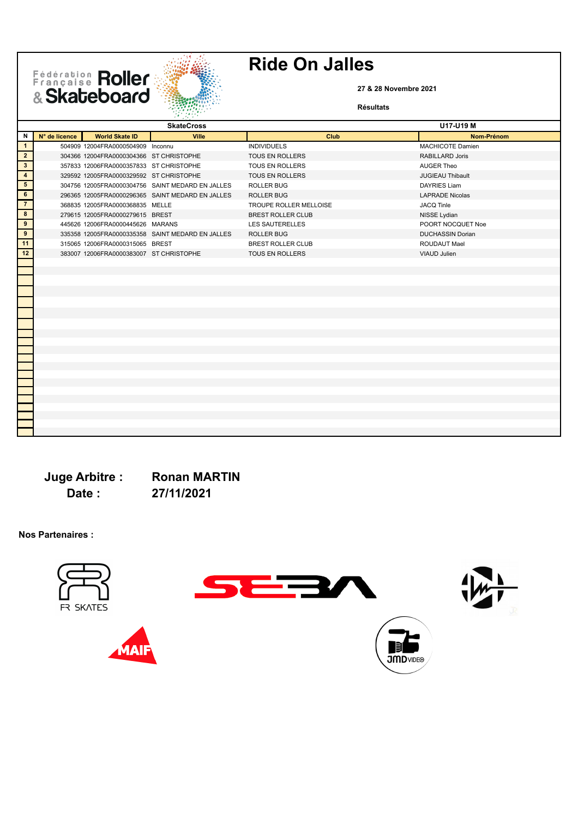**27 & 28 Novembre 2021** 

**Résultats**

|                         |               |                                         | 35 MAY 20<br><b>SkateCross</b>                   |                          | U17-U19 M               |
|-------------------------|---------------|-----------------------------------------|--------------------------------------------------|--------------------------|-------------------------|
| Ν                       | N° de licence | <b>World Skate ID</b>                   | Ville                                            | Club                     | Nom-Prénom              |
| $\mathbf{1}$            |               | 504909 12004FRA0000504909 Inconnu       |                                                  | <b>INDIVIDUELS</b>       | MACHICOTE Damien        |
| $\overline{2}$          |               | 304366 12004FRA0000304366 ST CHRISTOPHE |                                                  | <b>TOUS EN ROLLERS</b>   | RABILLARD Joris         |
| $\overline{\mathbf{3}}$ |               | 357833 12006FRA0000357833 ST CHRISTOPHE |                                                  | <b>TOUS EN ROLLERS</b>   | <b>AUGER Theo</b>       |
| $\overline{\mathbf{4}}$ |               | 329592 12005FRA0000329592 ST CHRISTOPHE |                                                  | <b>TOUS EN ROLLERS</b>   | <b>JUGIEAU Thibault</b> |
| 5 <sub>5</sub>          |               |                                         | 304756 12005FRA0000304756 SAINT MEDARD EN JALLES | <b>ROLLER BUG</b>        | <b>DAYRIES Liam</b>     |
| $6\phantom{.}$          |               |                                         | 296365 12005FRA0000296365 SAINT MEDARD EN JALLES | <b>ROLLER BUG</b>        | <b>LAPRADE Nicolas</b>  |
| $\overline{7}$          |               | 368835 12005FRA0000368835 MELLE         |                                                  | TROUPE ROLLER MELLOISE   | <b>JACQ Tinle</b>       |
| $\overline{\mathbf{8}}$ |               | 279615 12005FRA0000279615 BREST         |                                                  | <b>BREST ROLLER CLUB</b> | NISSE Lydian            |
| 9                       |               | 445626 12006FRA0000445626 MARANS        |                                                  | <b>LES SAUTERELLES</b>   | POORT NOCQUET Noe       |
| 9                       |               |                                         | 335358 12005FRA0000335358 SAINT MEDARD EN JALLES | <b>ROLLER BUG</b>        | <b>DUCHASSIN Dorian</b> |
| 11                      |               | 315065 12006FRA0000315065 BREST         |                                                  | <b>BREST ROLLER CLUB</b> | ROUDAUT Mael            |
| 12                      |               | 383007 12006FRA0000383007 ST CHRISTOPHE |                                                  | <b>TOUS EN ROLLERS</b>   | <b>VIAUD Julien</b>     |
|                         |               |                                         |                                                  |                          |                         |
|                         |               |                                         |                                                  |                          |                         |
|                         |               |                                         |                                                  |                          |                         |
|                         |               |                                         |                                                  |                          |                         |
|                         |               |                                         |                                                  |                          |                         |
|                         |               |                                         |                                                  |                          |                         |
|                         |               |                                         |                                                  |                          |                         |
|                         |               |                                         |                                                  |                          |                         |
|                         |               |                                         |                                                  |                          |                         |
|                         |               |                                         |                                                  |                          |                         |
|                         |               |                                         |                                                  |                          |                         |
|                         |               |                                         |                                                  |                          |                         |
|                         |               |                                         |                                                  |                          |                         |
|                         |               |                                         |                                                  |                          |                         |
|                         |               |                                         |                                                  |                          |                         |
|                         |               |                                         |                                                  |                          |                         |
|                         |               |                                         |                                                  |                          |                         |
|                         |               |                                         |                                                  |                          |                         |
|                         |               |                                         |                                                  |                          |                         |

**Juge Arbitre : Ronan MARTIN Date : 27/11/2021**

Fédération Roller

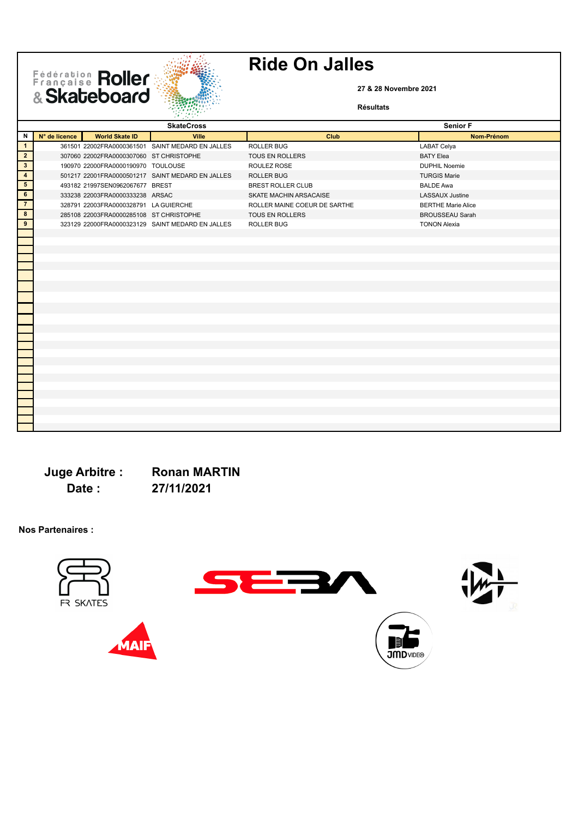**27 & 28 Novembre 2021** 

**Résultats**

|                         |               |                                         | <b>SkateCross</b>                                |                              | Senior F                  |
|-------------------------|---------------|-----------------------------------------|--------------------------------------------------|------------------------------|---------------------------|
| N                       | N° de licence | <b>World Skate ID</b>                   | Ville                                            | Club                         | Nom-Prénom                |
| $\overline{1}$          |               |                                         | 361501 22002FRA0000361501 SAINT MEDARD EN JALLES | <b>ROLLER BUG</b>            | <b>LABAT Celya</b>        |
| $\overline{2}$          |               | 307060 22002FRA0000307060 ST CHRISTOPHE |                                                  | <b>TOUS EN ROLLERS</b>       | <b>BATY Elea</b>          |
| $\overline{\mathbf{3}}$ |               | 190970 22000FRA0000190970 TOULOUSE      |                                                  | ROULEZ ROSE                  | <b>DUPHIL Noemie</b>      |
| $\overline{4}$          |               |                                         | 501217 22001FRA0000501217 SAINT MEDARD EN JALLES | <b>ROLLER BUG</b>            | <b>TURGIS Marie</b>       |
| $5\overline{)}$         |               | 493182 21997SEN0962067677 BREST         |                                                  | <b>BREST ROLLER CLUB</b>     | <b>BALDE Awa</b>          |
| $6\overline{6}$         |               | 333238 22003FRA0000333238 ARSAC         |                                                  | SKATE MACHIN ARSACAISE       | <b>LASSAUX Justine</b>    |
| $\overline{7}$          |               | 328791 22003FRA0000328791 LA GUIERCHE   |                                                  | ROLLER MAINE COEUR DE SARTHE | <b>BERTHE Marie Alice</b> |
| $\bf{8}$                |               | 285108 22003FRA0000285108 ST CHRISTOPHE |                                                  | TOUS EN ROLLERS              | <b>BROUSSEAU Sarah</b>    |
| 9                       |               |                                         | 323129 22000FRA0000323129 SAINT MEDARD EN JALLES | ROLLER BUG                   | <b>TONON Alexia</b>       |
|                         |               |                                         |                                                  |                              |                           |
|                         |               |                                         |                                                  |                              |                           |
|                         |               |                                         |                                                  |                              |                           |
|                         |               |                                         |                                                  |                              |                           |
|                         |               |                                         |                                                  |                              |                           |
|                         |               |                                         |                                                  |                              |                           |
|                         |               |                                         |                                                  |                              |                           |
|                         |               |                                         |                                                  |                              |                           |
|                         |               |                                         |                                                  |                              |                           |
|                         |               |                                         |                                                  |                              |                           |
|                         |               |                                         |                                                  |                              |                           |
|                         |               |                                         |                                                  |                              |                           |
|                         |               |                                         |                                                  |                              |                           |
|                         |               |                                         |                                                  |                              |                           |
|                         |               |                                         |                                                  |                              |                           |
|                         |               |                                         |                                                  |                              |                           |
|                         |               |                                         |                                                  |                              |                           |
|                         |               |                                         |                                                  |                              |                           |
|                         |               |                                         |                                                  |                              |                           |
|                         |               |                                         |                                                  |                              |                           |
|                         |               |                                         |                                                  |                              |                           |

## **Juge Arbitre : Ronan MARTIN Date : 27/11/2021**

Fédération Roller

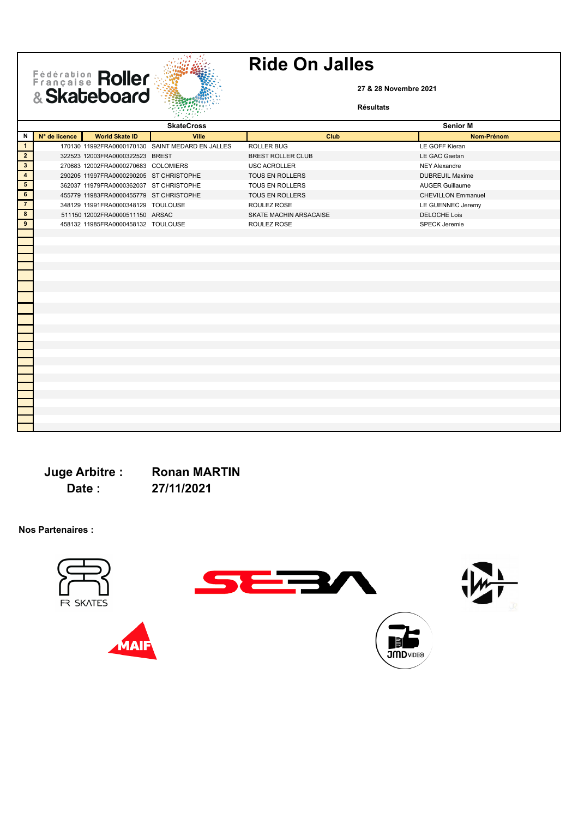**27 & 28 Novembre 2021** 

**Résultats**

|                         | 98 (a.H       |                                         |                                                  |                               |                           |  |
|-------------------------|---------------|-----------------------------------------|--------------------------------------------------|-------------------------------|---------------------------|--|
|                         |               |                                         | <b>SkateCross</b>                                |                               | <b>Senior M</b>           |  |
| N                       | N° de licence | <b>World Skate ID</b>                   | Ville                                            | Club                          | Nom-Prénom                |  |
| $\mathbf{1}$            |               |                                         | 170130 11992FRA0000170130 SAINT MEDARD EN JALLES | ROLLER BUG                    | LE GOFF Kieran            |  |
| $\overline{2}$          |               | 322523 12003FRA0000322523 BREST         |                                                  | <b>BREST ROLLER CLUB</b>      | LE GAC Gaetan             |  |
| $\overline{\mathbf{3}}$ |               | 270683 12002FRA0000270683 COLOMIERS     |                                                  | <b>USC ACROLLER</b>           | <b>NEY Alexandre</b>      |  |
| $\overline{4}$          |               | 290205 11997FRA0000290205 ST CHRISTOPHE |                                                  | TOUS EN ROLLERS               | <b>DUBREUIL Maxime</b>    |  |
| $5\phantom{.0}$         |               | 362037 11979FRA0000362037 ST CHRISTOPHE |                                                  | TOUS EN ROLLERS               | <b>AUGER Guillaume</b>    |  |
| 6                       |               | 455779 11983FRA0000455779 ST CHRISTOPHE |                                                  | TOUS EN ROLLERS               | <b>CHEVILLON Emmanuel</b> |  |
| $\overline{7}$          |               | 348129 11991FRA0000348129 TOULOUSE      |                                                  | ROULEZ ROSE                   | LE GUENNEC Jeremy         |  |
| 8                       |               | 511150 12002FRA0000511150 ARSAC         |                                                  | <b>SKATE MACHIN ARSACAISE</b> | <b>DELOCHE Lois</b>       |  |
| 9                       |               | 458132 11985FRA0000458132 TOULOUSE      |                                                  | ROULEZ ROSE                   | SPECK Jeremie             |  |
|                         |               |                                         |                                                  |                               |                           |  |
|                         |               |                                         |                                                  |                               |                           |  |
|                         |               |                                         |                                                  |                               |                           |  |
|                         |               |                                         |                                                  |                               |                           |  |
|                         |               |                                         |                                                  |                               |                           |  |
|                         |               |                                         |                                                  |                               |                           |  |
|                         |               |                                         |                                                  |                               |                           |  |
|                         |               |                                         |                                                  |                               |                           |  |
|                         |               |                                         |                                                  |                               |                           |  |
|                         |               |                                         |                                                  |                               |                           |  |
|                         |               |                                         |                                                  |                               |                           |  |
|                         |               |                                         |                                                  |                               |                           |  |
|                         |               |                                         |                                                  |                               |                           |  |
|                         |               |                                         |                                                  |                               |                           |  |
|                         |               |                                         |                                                  |                               |                           |  |
|                         |               |                                         |                                                  |                               |                           |  |
|                         |               |                                         |                                                  |                               |                           |  |
|                         |               |                                         |                                                  |                               |                           |  |
|                         |               |                                         |                                                  |                               |                           |  |
|                         |               |                                         |                                                  |                               |                           |  |
|                         |               |                                         |                                                  |                               |                           |  |

## **Juge Arbitre : Ronan MARTIN Date : 27/11/2021**

Fédération Roller

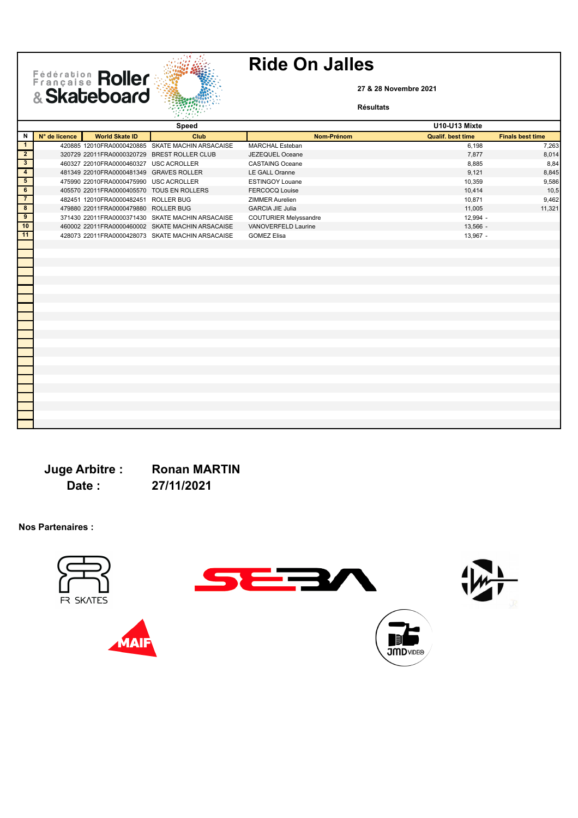Fédération Roller

#### **27 & 28 Novembre 2021**

**Résultats**

|                          |               |                                           | et volent<br>Speed                               |                              | U10-U13 Mixte            |                         |
|--------------------------|---------------|-------------------------------------------|--------------------------------------------------|------------------------------|--------------------------|-------------------------|
| Ν                        | N° de licence | <b>World Skate ID</b>                     | Club                                             | Nom-Prénom                   | <b>Qualif. best time</b> | <b>Finals best time</b> |
| $\blacksquare$           |               |                                           | 420885 12010FRA0000420885 SKATE MACHIN ARSACAISE | <b>MARCHAL Esteban</b>       | 6,198                    | 7,263                   |
| $\overline{2}$           |               |                                           | 320729 22011FRA0000320729 BREST ROLLER CLUB      | JEZEQUEL Oceane              | 7,877                    | 8,014                   |
| $\overline{\mathbf{3}}$  |               | 460327 22010FRA0000460327 USC ACROLLER    |                                                  | <b>CASTAING Oceane</b>       | 8,885                    | 8,84                    |
| $\overline{4}$           |               | 481349 22010FRA0000481349 GRAVES ROLLER   |                                                  | LE GALL Oranne               | 9,121                    | 8,845                   |
| $\overline{\phantom{0}}$ |               | 475990 22010FRA0000475990 USC ACROLLER    |                                                  | <b>ESTINGOY Louane</b>       | 10,359                   | 9,586                   |
| $\overline{6}$           |               | 405570 22011FRA0000405570 TOUS EN ROLLERS |                                                  | <b>FERCOCQ Louise</b>        | 10,414                   | 10,5                    |
| $\overline{7}$           |               | 482451 12010FRA0000482451 ROLLER BUG      |                                                  | ZIMMER Aurelien              | 10,871                   | 9,462                   |
| $\overline{\mathbf{8}}$  |               | 479880 22011FRA0000479880 ROLLER BUG      |                                                  | <b>GARCIA JIE Julia</b>      | 11,005                   | 11,321                  |
| $\overline{9}$           |               |                                           | 371430 22011FRA0000371430 SKATE MACHIN ARSACAISE | <b>COUTURIER Melyssandre</b> | 12,994 -                 |                         |
| $\overline{10}$          |               |                                           | 460002 22011FRA0000460002 SKATE MACHIN ARSACAISE | VANOVERFELD Laurine          | 13,566 -                 |                         |
| 11                       |               |                                           | 428073 22011FRA0000428073 SKATE MACHIN ARSACAISE | <b>GOMEZ Elisa</b>           | 13,967 -                 |                         |
|                          |               |                                           |                                                  |                              |                          |                         |
|                          |               |                                           |                                                  |                              |                          |                         |
|                          |               |                                           |                                                  |                              |                          |                         |
|                          |               |                                           |                                                  |                              |                          |                         |
|                          |               |                                           |                                                  |                              |                          |                         |
|                          |               |                                           |                                                  |                              |                          |                         |
|                          |               |                                           |                                                  |                              |                          |                         |
|                          |               |                                           |                                                  |                              |                          |                         |
|                          |               |                                           |                                                  |                              |                          |                         |
|                          |               |                                           |                                                  |                              |                          |                         |
|                          |               |                                           |                                                  |                              |                          |                         |
|                          |               |                                           |                                                  |                              |                          |                         |
|                          |               |                                           |                                                  |                              |                          |                         |
|                          |               |                                           |                                                  |                              |                          |                         |
|                          |               |                                           |                                                  |                              |                          |                         |
|                          |               |                                           |                                                  |                              |                          |                         |
|                          |               |                                           |                                                  |                              |                          |                         |
|                          |               |                                           |                                                  |                              |                          |                         |
|                          |               |                                           |                                                  |                              |                          |                         |
|                          |               |                                           |                                                  |                              |                          |                         |
|                          |               |                                           |                                                  |                              |                          |                         |

## **Juge Arbitre : Ronan MARTIN Date : 27/11/2021**

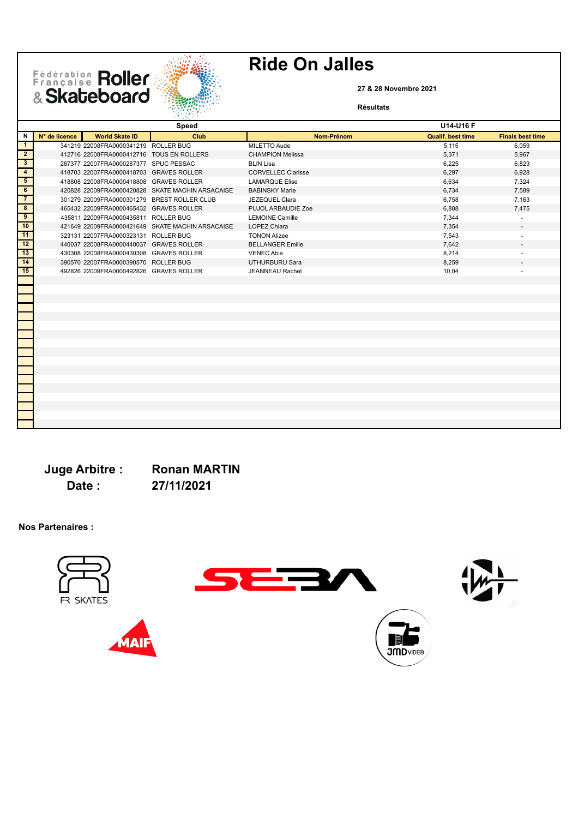



#### **27 & 28 Novembre 2021**

**Résultats**

|                         |               |                                           | n a shekar<br>Speed                              |                           | U14-U16 F                |                         |
|-------------------------|---------------|-------------------------------------------|--------------------------------------------------|---------------------------|--------------------------|-------------------------|
| N                       | N° de licence | <b>World Skate ID</b>                     | <b>Club</b>                                      | Nom-Prénom                | <b>Qualif. best time</b> | <b>Finals best time</b> |
| $\overline{\mathbf{u}}$ |               | 341219 22008FRA0000341219 ROLLER BUG      |                                                  | <b>MILETTO Aude</b>       | 5,115                    | 6,059                   |
| $\overline{2}$          |               | 412716 22008FRA0000412716 TOUS EN ROLLERS |                                                  | <b>CHAMPION Melissa</b>   | 5,371                    | 5,967                   |
| $\overline{\mathbf{3}}$ |               | 287377 22007FRA0000287377 SPUC PESSAC     |                                                  | <b>BLIN Lisa</b>          | 6,225                    | 6,823                   |
| $\overline{4}$          |               | 418703 22007FRA0000418703 GRAVES ROLLER   |                                                  | <b>CORVELLEC Clarisse</b> | 6,297                    | 6,928                   |
| $5\overline{)}$         |               | 418808 22008FRA0000418808 GRAVES ROLLER   |                                                  | <b>LAMARQUE Elise</b>     | 6,634                    | 7,324                   |
| $6\overline{6}$         |               |                                           | 420828 22009FRA0000420828 SKATE MACHIN ARSACAISE | <b>BABINSKY Marie</b>     | 6.734                    | 7,589                   |
| $\overline{7}$          |               |                                           | 301279 22009FRA0000301279 BREST ROLLER CLUB      | JEZEQUEL Clara            | 6,758                    | 7,163                   |
| $\overline{\mathbf{8}}$ |               | 465432 22009FRA0000465432 GRAVES ROLLER   |                                                  | PUJOL ARBAUDIE Zoe        | 6,888                    | 7,475                   |
| 9                       |               | 435811 22009FRA0000435811 ROLLER BUG      |                                                  | <b>LEMOINE Camille</b>    | 7,344                    |                         |
| 10                      |               |                                           | 421649 22009FRA0000421649 SKATE MACHIN ARSACAISE | LOPEZ Chiara              | 7,354                    |                         |
| $\frac{1}{11}$          |               | 323131 22007FRA0000323131 ROLLER BUG      |                                                  | <b>TONON Alizee</b>       | 7,543                    |                         |
| 12                      |               | 440037 22008FRA0000440037 GRAVES ROLLER   |                                                  | <b>BELLANGER Emilie</b>   | 7,642                    |                         |
| $\overline{13}$         |               | 430308 22008FRA0000430308 GRAVES ROLLER   |                                                  | <b>VENEC Abie</b>         | 8,214                    |                         |
| 14                      |               | 390570 22007FRA0000390570 ROLLER BUG      |                                                  | UTHURBURU Sara            | 8,259                    |                         |
| 15                      |               | 492826 22009FRA0000492826 GRAVES ROLLER   |                                                  | JEANNEAU Rachel           | 10,04                    |                         |
|                         |               |                                           |                                                  |                           |                          |                         |
| h                       |               |                                           |                                                  |                           |                          |                         |
|                         |               |                                           |                                                  |                           |                          |                         |
|                         |               |                                           |                                                  |                           |                          |                         |
|                         |               |                                           |                                                  |                           |                          |                         |
|                         |               |                                           |                                                  |                           |                          |                         |
|                         |               |                                           |                                                  |                           |                          |                         |
|                         |               |                                           |                                                  |                           |                          |                         |
|                         |               |                                           |                                                  |                           |                          |                         |
|                         |               |                                           |                                                  |                           |                          |                         |
|                         |               |                                           |                                                  |                           |                          |                         |
|                         |               |                                           |                                                  |                           |                          |                         |
|                         |               |                                           |                                                  |                           |                          |                         |
|                         |               |                                           |                                                  |                           |                          |                         |
|                         |               |                                           |                                                  |                           |                          |                         |
|                         |               |                                           |                                                  |                           |                          |                         |
|                         |               |                                           |                                                  |                           |                          |                         |

## **Juge Arbitre : Ronan MARTIN Date : 27/11/2021**

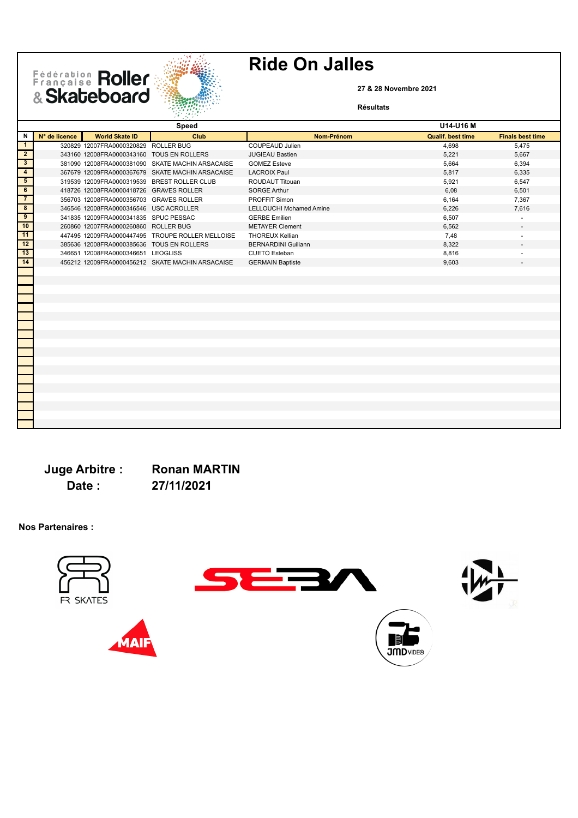Fédération Roller



#### **27 & 28 Novembre 2021**

**Résultats**

| t Tradesh<br><b>Speed</b> |               |                                           |                                                  | U14-U16 M                      |                          |                         |
|---------------------------|---------------|-------------------------------------------|--------------------------------------------------|--------------------------------|--------------------------|-------------------------|
| Ν                         | N° de licence | <b>World Skate ID</b>                     | <b>Club</b>                                      | Nom-Prénom                     | <b>Qualif. best time</b> | <b>Finals best time</b> |
| $\mathbf{1}$              |               | 320829 12007FRA0000320829 ROLLER BUG      |                                                  | COUPEAUD Julien                | 4,698                    | 5,475                   |
| $\overline{2}$            |               | 343160 12008FRA0000343160 TOUS EN ROLLERS |                                                  | <b>JUGIEAU Bastien</b>         | 5,221                    | 5,667                   |
| $\overline{\mathbf{3}}$   |               |                                           | 381090 12008FRA0000381090 SKATE MACHIN ARSACAISE | <b>GOMEZ Esteve</b>            | 5,664                    | 6,394                   |
| $\overline{4}$            |               |                                           | 367679 12009FRA0000367679 SKATE MACHIN ARSACAISE | <b>LACROIX Paul</b>            | 5,817                    | 6,335                   |
| $5\overline{)}$           |               |                                           | 319539 12009FRA0000319539 BREST ROLLER CLUB      | ROUDAUT Titouan                | 5,921                    | 6,547                   |
| 6                         |               | 418726 12008FRA0000418726 GRAVES ROLLER   |                                                  | <b>SORGE Arthur</b>            | 6,08                     | 6,501                   |
| $\overline{7}$            |               | 356703 12008FRA0000356703 GRAVES ROLLER   |                                                  | PROFFIT Simon                  | 6,164                    | 7,367                   |
| $\overline{\mathbf{8}}$   |               | 346546 12008FRA0000346546 USC ACROLLER    |                                                  | <b>LELLOUCHI Mohamed Amine</b> | 6,226                    | 7,616                   |
| $\overline{9}$            |               | 341835 12009FRA0000341835 SPUC PESSAC     |                                                  | <b>GERBE Emilien</b>           | 6,507                    |                         |
| 10                        |               | 260860 12007FRA0000260860 ROLLER BUG      |                                                  | <b>METAYER Clement</b>         | 6,562                    |                         |
| 11                        |               |                                           | 447495 12009FRA0000447495 TROUPE ROLLER MELLOISE | <b>THOREUX Kellian</b>         | 7,48                     |                         |
| 12                        |               | 385636 12008FRA0000385636 TOUS EN ROLLERS |                                                  | <b>BERNARDINI Guiliann</b>     | 8,322                    |                         |
| 13                        |               | 346651 12008FRA0000346651 LEOGLISS        |                                                  | <b>CUETO Esteban</b>           | 8,816                    |                         |
| 14                        |               |                                           | 456212 12009FRA0000456212 SKATE MACHIN ARSACAISE | <b>GERMAIN Baptiste</b>        | 9,603                    |                         |
|                           |               |                                           |                                                  |                                |                          |                         |
|                           |               |                                           |                                                  |                                |                          |                         |
|                           |               |                                           |                                                  |                                |                          |                         |
|                           |               |                                           |                                                  |                                |                          |                         |
|                           |               |                                           |                                                  |                                |                          |                         |
|                           |               |                                           |                                                  |                                |                          |                         |
|                           |               |                                           |                                                  |                                |                          |                         |
|                           |               |                                           |                                                  |                                |                          |                         |
|                           |               |                                           |                                                  |                                |                          |                         |
|                           |               |                                           |                                                  |                                |                          |                         |
|                           |               |                                           |                                                  |                                |                          |                         |
|                           |               |                                           |                                                  |                                |                          |                         |
|                           |               |                                           |                                                  |                                |                          |                         |
|                           |               |                                           |                                                  |                                |                          |                         |
|                           |               |                                           |                                                  |                                |                          |                         |
|                           |               |                                           |                                                  |                                |                          |                         |
|                           |               |                                           |                                                  |                                |                          |                         |
|                           |               |                                           |                                                  |                                |                          |                         |

## **Juge Arbitre : Ronan MARTIN Date : 27/11/2021**

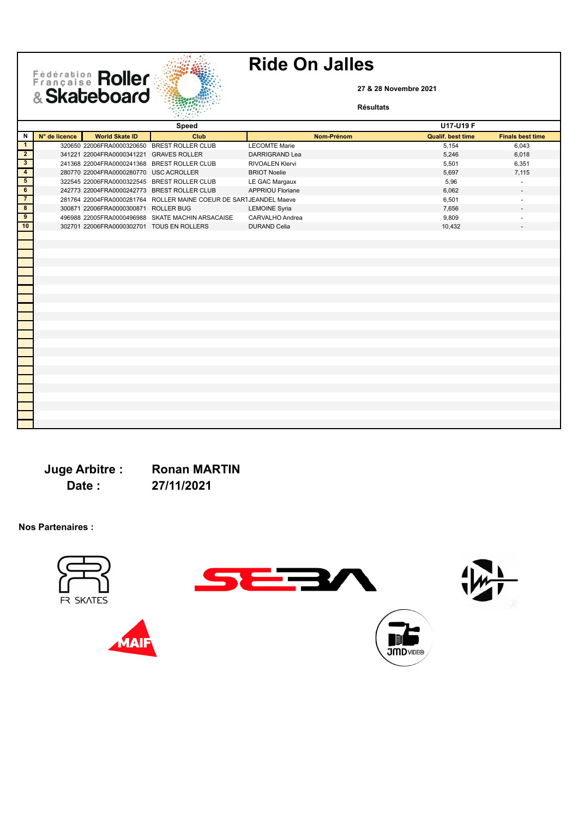Fédération Roller



#### **27 & 28 Novembre 2021**

**Résultats**

| 计数据程序                    |               |                                           |                                                                   |                         |                          |                         |
|--------------------------|---------------|-------------------------------------------|-------------------------------------------------------------------|-------------------------|--------------------------|-------------------------|
|                          |               |                                           | Speed                                                             |                         | U17-U19 F                |                         |
| N                        | N° de licence | <b>World Skate ID</b>                     | Club                                                              | Nom-Prénom              | <b>Qualif. best time</b> | <b>Finals best time</b> |
| $\overline{1}$           |               |                                           | 320650 22006FRA0000320650 BREST ROLLER CLUB                       | <b>LECOMTE Marie</b>    | 5,154                    | 6,043                   |
| $\overline{2}$           |               | 341221 22004FRA0000341221 GRAVES ROLLER   |                                                                   | <b>DARRIGRAND Lea</b>   | 5,246                    | 6,018                   |
| $\overline{\mathbf{3}}$  |               |                                           | 241368 22004FRA0000241368 BREST ROLLER CLUB                       | RIVOALEN Klervi         | 5,501                    | 6,351                   |
| $\overline{4}$           |               | 280770 22004FRA0000280770 USC ACROLLER    |                                                                   | <b>BRIOT Noelie</b>     | 5,697                    | 7,115                   |
| $\overline{\phantom{0}}$ |               |                                           | 322545 22006FRA0000322545 BREST ROLLER CLUB                       | LE GAC Margaux          | 5,96                     |                         |
| $\overline{6}$           |               |                                           | 242773 22004FRA0000242773 BREST ROLLER CLUB                       | <b>APPRIOU Floriane</b> | 6,062                    |                         |
| $\overline{7}$           |               |                                           | 281764 22004FRA0000281764 ROLLER MAINE COEUR DE SARTJEANDEL Maeve |                         | 6,501                    |                         |
| $\overline{\mathbf{8}}$  |               | 300871 22006FRA0000300871 ROLLER BUG      |                                                                   | <b>LEMOINE Syria</b>    | 7,656                    |                         |
| $\overline{9}$           |               |                                           | 496988 22005FRA0000496988 SKATE MACHIN ARSACAISE                  | CARVALHO Andrea         | 9,809                    |                         |
| 10                       |               | 302701 22006FRA0000302701 TOUS EN ROLLERS |                                                                   | <b>DURAND Celia</b>     | 10,432                   |                         |
|                          |               |                                           |                                                                   |                         |                          |                         |
|                          |               |                                           |                                                                   |                         |                          |                         |
|                          |               |                                           |                                                                   |                         |                          |                         |
|                          |               |                                           |                                                                   |                         |                          |                         |
|                          |               |                                           |                                                                   |                         |                          |                         |
|                          |               |                                           |                                                                   |                         |                          |                         |
|                          |               |                                           |                                                                   |                         |                          |                         |
|                          |               |                                           |                                                                   |                         |                          |                         |
|                          |               |                                           |                                                                   |                         |                          |                         |
|                          |               |                                           |                                                                   |                         |                          |                         |
|                          |               |                                           |                                                                   |                         |                          |                         |
|                          |               |                                           |                                                                   |                         |                          |                         |
|                          |               |                                           |                                                                   |                         |                          |                         |
|                          |               |                                           |                                                                   |                         |                          |                         |
|                          |               |                                           |                                                                   |                         |                          |                         |
|                          |               |                                           |                                                                   |                         |                          |                         |
|                          |               |                                           |                                                                   |                         |                          |                         |
|                          |               |                                           |                                                                   |                         |                          |                         |
|                          |               |                                           |                                                                   |                         |                          |                         |
|                          |               |                                           |                                                                   |                         |                          |                         |
|                          |               |                                           |                                                                   |                         |                          |                         |
|                          |               |                                           |                                                                   |                         |                          |                         |
|                          |               |                                           |                                                                   |                         |                          |                         |

## **Juge Arbitre : Ronan MARTIN Date : 27/11/2021**

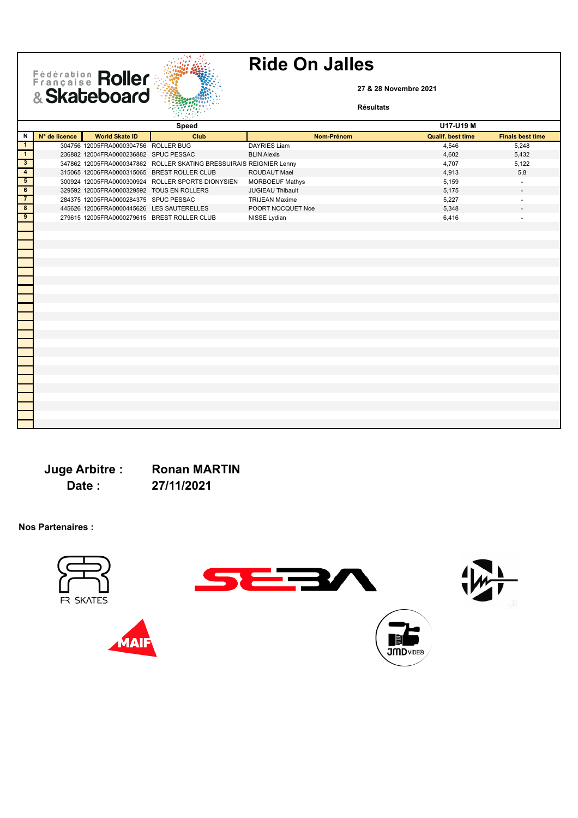



#### **27 & 28 Novembre 2021**

**Résultats**

|                         | 35 MW         |                                           |                                                                     |                         |                          |                         |  |
|-------------------------|---------------|-------------------------------------------|---------------------------------------------------------------------|-------------------------|--------------------------|-------------------------|--|
|                         |               |                                           | Speed                                                               |                         | U17-U19 M                |                         |  |
| Ν                       | N° de licence | <b>World Skate ID</b>                     | Club                                                                | Nom-Prénom              | <b>Qualif. best time</b> | <b>Finals best time</b> |  |
| $\overline{1}$          |               | 304756 12005FRA0000304756 ROLLER BUG      |                                                                     | <b>DAYRIES Liam</b>     | 4,546                    | 5,248                   |  |
| $\overline{1}$          |               | 236882 12004FRA0000236882 SPUC PESSAC     |                                                                     | <b>BLIN Alexis</b>      | 4,602                    | 5,432                   |  |
| $\overline{\mathbf{3}}$ |               |                                           | 347862 12005FRA0000347862 ROLLER SKATING BRESSUIRAIS REIGNIER Lenny |                         | 4,707                    | 5,122                   |  |
| $\overline{4}$          |               |                                           | 315065 12006FRA0000315065 BREST ROLLER CLUB                         | ROUDAUT Mael            | 4,913                    | 5,8                     |  |
| $5\overline{)}$         |               |                                           | 300924 12005FRA0000300924 ROLLER SPORTS DIONYSIEN                   | <b>MORBOEUF Mathys</b>  | 5,159                    |                         |  |
| $\overline{6}$          |               | 329592 12005FRA0000329592 TOUS EN ROLLERS |                                                                     | <b>JUGIEAU Thibault</b> | 5,175                    |                         |  |
| $\overline{7}$          |               | 284375 12005FRA0000284375 SPUC PESSAC     |                                                                     | <b>TRIJEAN Maxime</b>   | 5,227                    | $\overline{a}$          |  |
| $\overline{\mathbf{8}}$ |               | 445626 12006FRA0000445626 LES SAUTERELLES |                                                                     | POORT NOCQUET Noe       | 5,348                    |                         |  |
| $\overline{9}$          |               |                                           | 279615 12005FRA0000279615 BREST ROLLER CLUB                         | NISSE Lydian            | 6,416                    |                         |  |
|                         |               |                                           |                                                                     |                         |                          |                         |  |
|                         |               |                                           |                                                                     |                         |                          |                         |  |
|                         |               |                                           |                                                                     |                         |                          |                         |  |
|                         |               |                                           |                                                                     |                         |                          |                         |  |
|                         |               |                                           |                                                                     |                         |                          |                         |  |
|                         |               |                                           |                                                                     |                         |                          |                         |  |
|                         |               |                                           |                                                                     |                         |                          |                         |  |
|                         |               |                                           |                                                                     |                         |                          |                         |  |
|                         |               |                                           |                                                                     |                         |                          |                         |  |
|                         |               |                                           |                                                                     |                         |                          |                         |  |
|                         |               |                                           |                                                                     |                         |                          |                         |  |
|                         |               |                                           |                                                                     |                         |                          |                         |  |
|                         |               |                                           |                                                                     |                         |                          |                         |  |
|                         |               |                                           |                                                                     |                         |                          |                         |  |
|                         |               |                                           |                                                                     |                         |                          |                         |  |
|                         |               |                                           |                                                                     |                         |                          |                         |  |
|                         |               |                                           |                                                                     |                         |                          |                         |  |
|                         |               |                                           |                                                                     |                         |                          |                         |  |
|                         |               |                                           |                                                                     |                         |                          |                         |  |
|                         |               |                                           |                                                                     |                         |                          |                         |  |
|                         |               |                                           |                                                                     |                         |                          |                         |  |
|                         |               |                                           |                                                                     |                         |                          |                         |  |
|                         |               |                                           |                                                                     |                         |                          |                         |  |

## **Juge Arbitre : Ronan MARTIN Date : 27/11/2021**

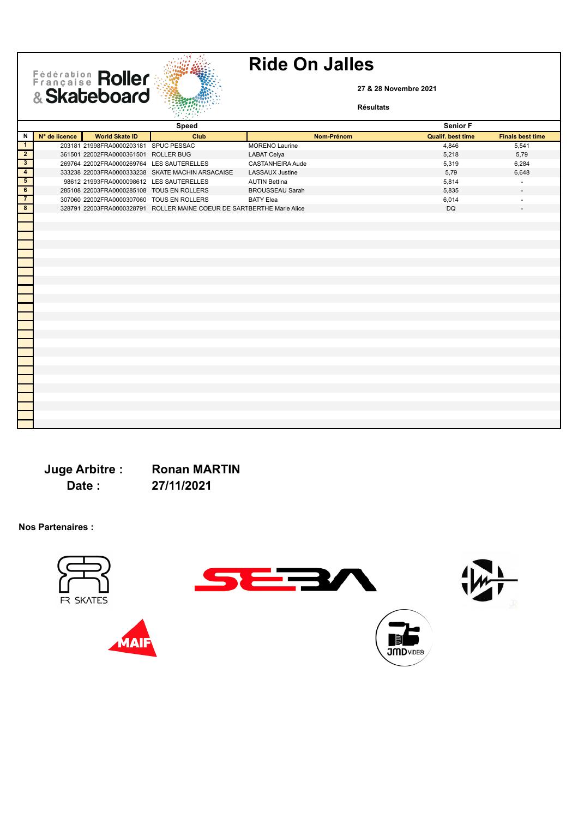



### **27 & 28 Novembre 2021**

**Résultats**

|                         |               |                                           | 17. VII. 1<br>Speed                                                    |                        | Senior F                 |                         |
|-------------------------|---------------|-------------------------------------------|------------------------------------------------------------------------|------------------------|--------------------------|-------------------------|
| N                       | N° de licence | <b>World Skate ID</b>                     | Club                                                                   | Nom-Prénom             | <b>Qualif. best time</b> | <b>Finals best time</b> |
| $\mathbf{1}$            |               | 203181 21998FRA0000203181 SPUC PESSAC     |                                                                        | <b>MORENO Laurine</b>  | 4,846                    | 5,541                   |
| $\overline{2}$          |               | 361501 22002FRA0000361501 ROLLER BUG      |                                                                        | <b>LABAT Celya</b>     | 5,218                    | 5,79                    |
| $\overline{\mathbf{3}}$ |               | 269764 22002FRA0000269764 LES SAUTERELLES |                                                                        | CASTANHEIRA Aude       | 5,319                    | 6,284                   |
| $\overline{4}$          |               |                                           | 333238 22003FRA0000333238 SKATE MACHIN ARSACAISE                       | <b>LASSAUX Justine</b> | 5,79                     | 6,648                   |
| $\overline{5}$          |               | 98612 21993FRA0000098612 LES SAUTERELLES  |                                                                        | <b>AUTIN Bettina</b>   | 5,814                    |                         |
| $\overline{6}$          |               | 285108 22003FRA0000285108 TOUS EN ROLLERS |                                                                        | <b>BROUSSEAU Sarah</b> | 5,835                    |                         |
|                         |               | 307060 22002FRA0000307060 TOUS EN ROLLERS |                                                                        | <b>BATY Elea</b>       | 6,014                    |                         |
| $\overline{\mathbf{8}}$ |               |                                           | 328791 22003FRA0000328791 ROLLER MAINE COEUR DE SARTBERTHE Marie Alice |                        | <b>DQ</b>                |                         |
|                         |               |                                           |                                                                        |                        |                          |                         |
|                         |               |                                           |                                                                        |                        |                          |                         |
|                         |               |                                           |                                                                        |                        |                          |                         |
|                         |               |                                           |                                                                        |                        |                          |                         |
|                         |               |                                           |                                                                        |                        |                          |                         |
|                         |               |                                           |                                                                        |                        |                          |                         |
|                         |               |                                           |                                                                        |                        |                          |                         |
|                         |               |                                           |                                                                        |                        |                          |                         |
|                         |               |                                           |                                                                        |                        |                          |                         |
|                         |               |                                           |                                                                        |                        |                          |                         |
|                         |               |                                           |                                                                        |                        |                          |                         |
|                         |               |                                           |                                                                        |                        |                          |                         |
|                         |               |                                           |                                                                        |                        |                          |                         |
|                         |               |                                           |                                                                        |                        |                          |                         |
|                         |               |                                           |                                                                        |                        |                          |                         |
|                         |               |                                           |                                                                        |                        |                          |                         |
|                         |               |                                           |                                                                        |                        |                          |                         |
|                         |               |                                           |                                                                        |                        |                          |                         |
|                         |               |                                           |                                                                        |                        |                          |                         |
|                         |               |                                           |                                                                        |                        |                          |                         |
|                         |               |                                           |                                                                        |                        |                          |                         |
|                         |               |                                           |                                                                        |                        |                          |                         |
|                         |               |                                           |                                                                        |                        |                          |                         |
|                         |               |                                           |                                                                        |                        |                          |                         |

### **Juge Arbitre : Ronan MARTIN Date : 27/11/2021**